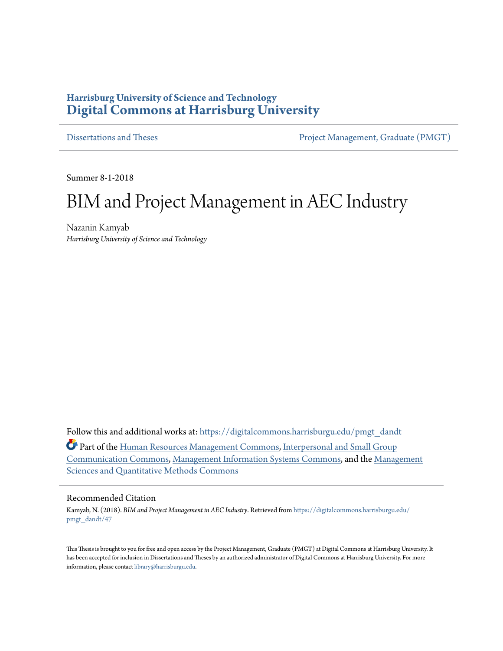## **Harrisburg University of Science and Technology [Digital Commons at Harrisburg University](https://digitalcommons.harrisburgu.edu?utm_source=digitalcommons.harrisburgu.edu%2Fpmgt_dandt%2F47&utm_medium=PDF&utm_campaign=PDFCoverPages)**

[Dissertations and Theses](https://digitalcommons.harrisburgu.edu/pmgt_dandt?utm_source=digitalcommons.harrisburgu.edu%2Fpmgt_dandt%2F47&utm_medium=PDF&utm_campaign=PDFCoverPages) [Project Management, Graduate \(PMGT\)](https://digitalcommons.harrisburgu.edu/pmgt?utm_source=digitalcommons.harrisburgu.edu%2Fpmgt_dandt%2F47&utm_medium=PDF&utm_campaign=PDFCoverPages)

Summer 8-1-2018

# BIM and Project Management in AEC Industry

Nazanin Kamyab *Harrisburg University of Science and Technology*

Follow this and additional works at: [https://digitalcommons.harrisburgu.edu/pmgt\\_dandt](https://digitalcommons.harrisburgu.edu/pmgt_dandt?utm_source=digitalcommons.harrisburgu.edu%2Fpmgt_dandt%2F47&utm_medium=PDF&utm_campaign=PDFCoverPages) **C** Part of the [Human Resources Management Commons,](http://network.bepress.com/hgg/discipline/633?utm_source=digitalcommons.harrisburgu.edu%2Fpmgt_dandt%2F47&utm_medium=PDF&utm_campaign=PDFCoverPages) [Interpersonal and Small Group](http://network.bepress.com/hgg/discipline/332?utm_source=digitalcommons.harrisburgu.edu%2Fpmgt_dandt%2F47&utm_medium=PDF&utm_campaign=PDFCoverPages) [Communication Commons,](http://network.bepress.com/hgg/discipline/332?utm_source=digitalcommons.harrisburgu.edu%2Fpmgt_dandt%2F47&utm_medium=PDF&utm_campaign=PDFCoverPages) [Management Information Systems Commons,](http://network.bepress.com/hgg/discipline/636?utm_source=digitalcommons.harrisburgu.edu%2Fpmgt_dandt%2F47&utm_medium=PDF&utm_campaign=PDFCoverPages) and the [Management](http://network.bepress.com/hgg/discipline/637?utm_source=digitalcommons.harrisburgu.edu%2Fpmgt_dandt%2F47&utm_medium=PDF&utm_campaign=PDFCoverPages) [Sciences and Quantitative Methods Commons](http://network.bepress.com/hgg/discipline/637?utm_source=digitalcommons.harrisburgu.edu%2Fpmgt_dandt%2F47&utm_medium=PDF&utm_campaign=PDFCoverPages)

#### Recommended Citation

Kamyab, N. (2018). *BIM and Project Management in AEC Industry*. Retrieved from [https://digitalcommons.harrisburgu.edu/](https://digitalcommons.harrisburgu.edu/pmgt_dandt/47?utm_source=digitalcommons.harrisburgu.edu%2Fpmgt_dandt%2F47&utm_medium=PDF&utm_campaign=PDFCoverPages) [pmgt\\_dandt/47](https://digitalcommons.harrisburgu.edu/pmgt_dandt/47?utm_source=digitalcommons.harrisburgu.edu%2Fpmgt_dandt%2F47&utm_medium=PDF&utm_campaign=PDFCoverPages)

This Thesis is brought to you for free and open access by the Project Management, Graduate (PMGT) at Digital Commons at Harrisburg University. It has been accepted for inclusion in Dissertations and Theses by an authorized administrator of Digital Commons at Harrisburg University. For more information, please contact [library@harrisburgu.edu.](mailto:library@harrisburgu.edu)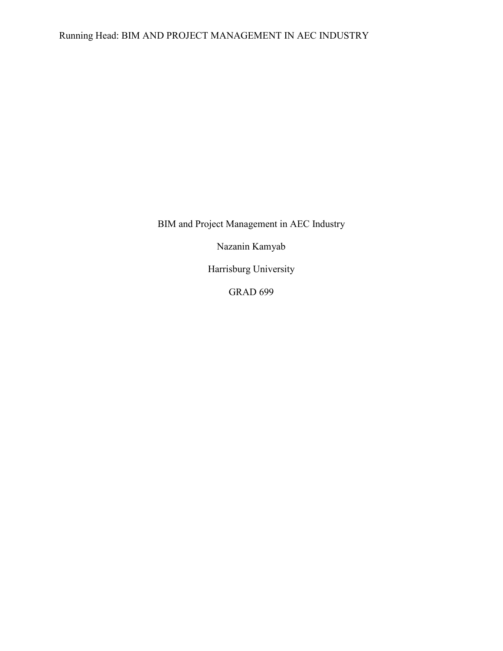Running Head: BIM AND PROJECT MANAGEMENT IN AEC INDUSTRY

BIM and Project Management in AEC Industry

Nazanin Kamyab

Harrisburg University

GRAD 699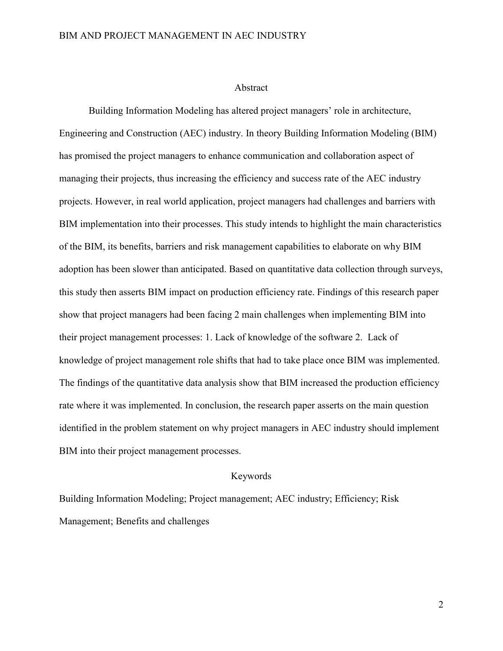#### Abstract

Building Information Modeling has altered project managers' role in architecture, Engineering and Construction (AEC) industry. In theory Building Information Modeling (BIM) has promised the project managers to enhance communication and collaboration aspect of managing their projects, thus increasing the efficiency and success rate of the AEC industry projects. However, in real world application, project managers had challenges and barriers with BIM implementation into their processes. This study intends to highlight the main characteristics of the BIM, its benefits, barriers and risk management capabilities to elaborate on why BIM adoption has been slower than anticipated. Based on quantitative data collection through surveys, this study then asserts BIM impact on production efficiency rate. Findings of this research paper show that project managers had been facing 2 main challenges when implementing BIM into their project management processes: 1. Lack of knowledge of the software 2. Lack of knowledge of project management role shifts that had to take place once BIM was implemented. The findings of the quantitative data analysis show that BIM increased the production efficiency rate where it was implemented. In conclusion, the research paper asserts on the main question identified in the problem statement on why project managers in AEC industry should implement BIM into their project management processes.

#### Keywords

Building Information Modeling; Project management; AEC industry; Efficiency; Risk Management; Benefits and challenges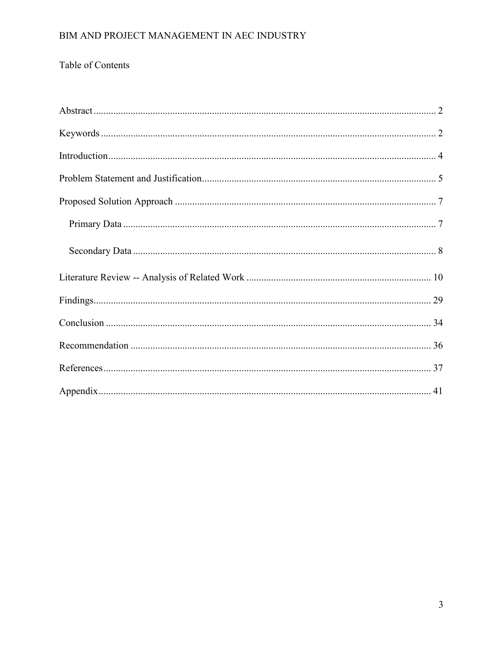## Table of Contents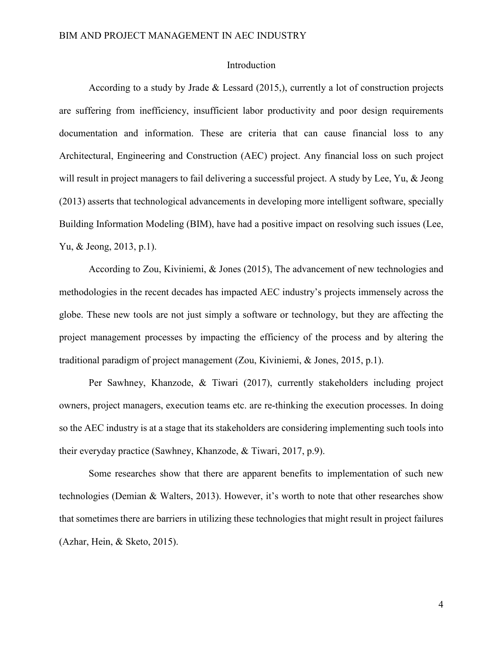#### Introduction

According to a study by Jrade & Lessard (2015,), currently a lot of construction projects are suffering from inefficiency, insufficient labor productivity and poor design requirements documentation and information. These are criteria that can cause financial loss to any Architectural, Engineering and Construction (AEC) project. Any financial loss on such project will result in project managers to fail delivering a successful project. A study by Lee, Yu, & Jeong (2013) asserts that technological advancements in developing more intelligent software, specially Building Information Modeling (BIM), have had a positive impact on resolving such issues (Lee, Yu, & Jeong, 2013, p.1).

According to Zou, Kiviniemi, & Jones (2015), The advancement of new technologies and methodologies in the recent decades has impacted AEC industry's projects immensely across the globe. These new tools are not just simply a software or technology, but they are affecting the project management processes by impacting the efficiency of the process and by altering the traditional paradigm of project management (Zou, Kiviniemi, & Jones, 2015, p.1).

Per Sawhney, Khanzode, & Tiwari (2017), currently stakeholders including project owners, project managers, execution teams etc. are re-thinking the execution processes. In doing so the AEC industry is at a stage that its stakeholders are considering implementing such tools into their everyday practice (Sawhney, Khanzode, & Tiwari, 2017, p.9).

Some researches show that there are apparent benefits to implementation of such new technologies (Demian & Walters, 2013). However, it's worth to note that other researches show that sometimes there are barriers in utilizing these technologies that might result in project failures (Azhar, Hein, & Sketo, 2015).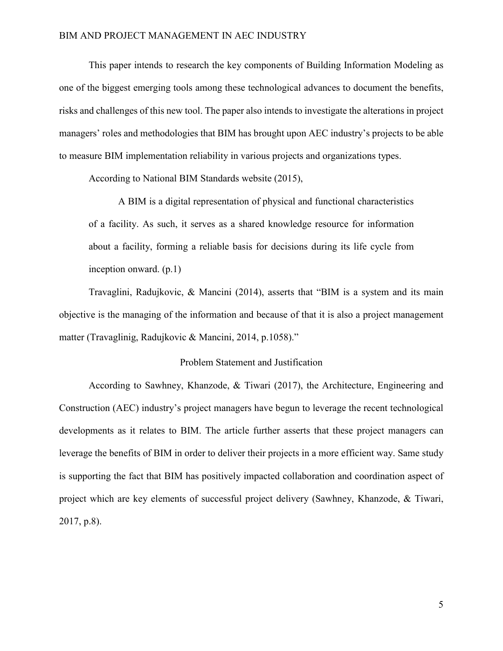This paper intends to research the key components of Building Information Modeling as one of the biggest emerging tools among these technological advances to document the benefits, risks and challenges of this new tool. The paper also intends to investigate the alterations in project managers' roles and methodologies that BIM has brought upon AEC industry's projects to be able to measure BIM implementation reliability in various projects and organizations types.

According to National BIM Standards website (2015),

A BIM is a digital representation of physical and functional characteristics of a facility. As such, it serves as a shared knowledge resource for information about a facility, forming a reliable basis for decisions during its life cycle from inception onward. (p.1)

Travaglini, Radujkovic, & Mancini (2014), asserts that "BIM is a system and its main objective is the managing of the information and because of that it is also a project management matter (Travaglinig, Radujkovic & Mancini, 2014, p.1058)."

#### Problem Statement and Justification

According to Sawhney, Khanzode, & Tiwari (2017), the Architecture, Engineering and Construction (AEC) industry's project managers have begun to leverage the recent technological developments as it relates to BIM. The article further asserts that these project managers can leverage the benefits of BIM in order to deliver their projects in a more efficient way. Same study is supporting the fact that BIM has positively impacted collaboration and coordination aspect of project which are key elements of successful project delivery (Sawhney, Khanzode, & Tiwari, 2017, p.8).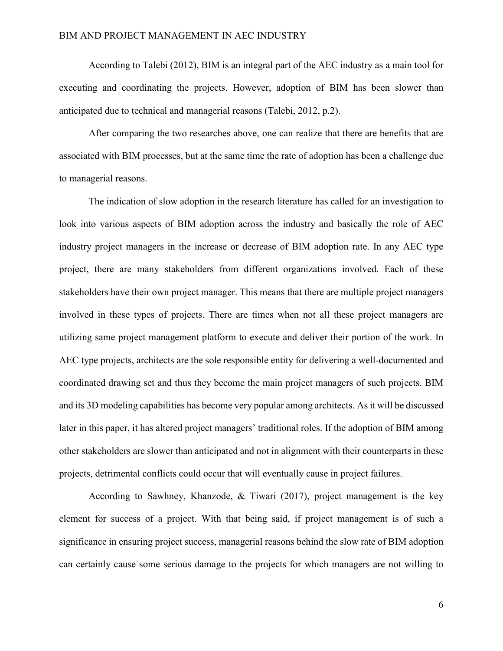According to Talebi (2012), BIM is an integral part of the AEC industry as a main tool for executing and coordinating the projects. However, adoption of BIM has been slower than anticipated due to technical and managerial reasons (Talebi, 2012, p.2).

After comparing the two researches above, one can realize that there are benefits that are associated with BIM processes, but at the same time the rate of adoption has been a challenge due to managerial reasons.

The indication of slow adoption in the research literature has called for an investigation to look into various aspects of BIM adoption across the industry and basically the role of AEC industry project managers in the increase or decrease of BIM adoption rate. In any AEC type project, there are many stakeholders from different organizations involved. Each of these stakeholders have their own project manager. This means that there are multiple project managers involved in these types of projects. There are times when not all these project managers are utilizing same project management platform to execute and deliver their portion of the work. In AEC type projects, architects are the sole responsible entity for delivering a well-documented and coordinated drawing set and thus they become the main project managers of such projects. BIM and its 3D modeling capabilities has become very popular among architects. As it will be discussed later in this paper, it has altered project managers' traditional roles. If the adoption of BIM among other stakeholders are slower than anticipated and not in alignment with their counterparts in these projects, detrimental conflicts could occur that will eventually cause in project failures.

According to Sawhney, Khanzode, & Tiwari (2017), project management is the key element for success of a project. With that being said, if project management is of such a significance in ensuring project success, managerial reasons behind the slow rate of BIM adoption can certainly cause some serious damage to the projects for which managers are not willing to

6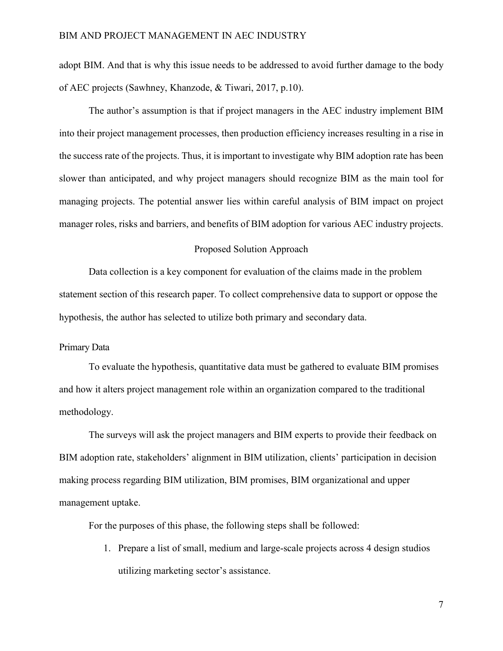adopt BIM. And that is why this issue needs to be addressed to avoid further damage to the body of AEC projects (Sawhney, Khanzode, & Tiwari, 2017, p.10).

The author's assumption is that if project managers in the AEC industry implement BIM into their project management processes, then production efficiency increases resulting in a rise in the success rate of the projects. Thus, it is important to investigate why BIM adoption rate has been slower than anticipated, and why project managers should recognize BIM as the main tool for managing projects. The potential answer lies within careful analysis of BIM impact on project manager roles, risks and barriers, and benefits of BIM adoption for various AEC industry projects.

#### Proposed Solution Approach

Data collection is a key component for evaluation of the claims made in the problem statement section of this research paper. To collect comprehensive data to support or oppose the hypothesis, the author has selected to utilize both primary and secondary data.

#### Primary Data

To evaluate the hypothesis, quantitative data must be gathered to evaluate BIM promises and how it alters project management role within an organization compared to the traditional methodology.

The surveys will ask the project managers and BIM experts to provide their feedback on BIM adoption rate, stakeholders' alignment in BIM utilization, clients' participation in decision making process regarding BIM utilization, BIM promises, BIM organizational and upper management uptake.

For the purposes of this phase, the following steps shall be followed:

1. Prepare a list of small, medium and large-scale projects across 4 design studios utilizing marketing sector's assistance.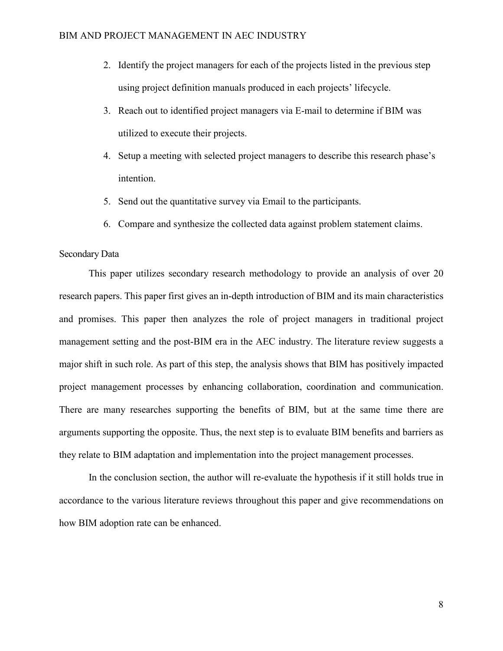- 2. Identify the project managers for each of the projects listed in the previous step using project definition manuals produced in each projects' lifecycle.
- 3. Reach out to identified project managers via E-mail to determine if BIM was utilized to execute their projects.
- 4. Setup a meeting with selected project managers to describe this research phase's intention.
- 5. Send out the quantitative survey via Email to the participants.
- 6. Compare and synthesize the collected data against problem statement claims.

#### Secondary Data

This paper utilizes secondary research methodology to provide an analysis of over 20 research papers. This paper first gives an in-depth introduction of BIM and its main characteristics and promises. This paper then analyzes the role of project managers in traditional project management setting and the post-BIM era in the AEC industry. The literature review suggests a major shift in such role. As part of this step, the analysis shows that BIM has positively impacted project management processes by enhancing collaboration, coordination and communication. There are many researches supporting the benefits of BIM, but at the same time there are arguments supporting the opposite. Thus, the next step is to evaluate BIM benefits and barriers as they relate to BIM adaptation and implementation into the project management processes.

In the conclusion section, the author will re-evaluate the hypothesis if it still holds true in accordance to the various literature reviews throughout this paper and give recommendations on how BIM adoption rate can be enhanced.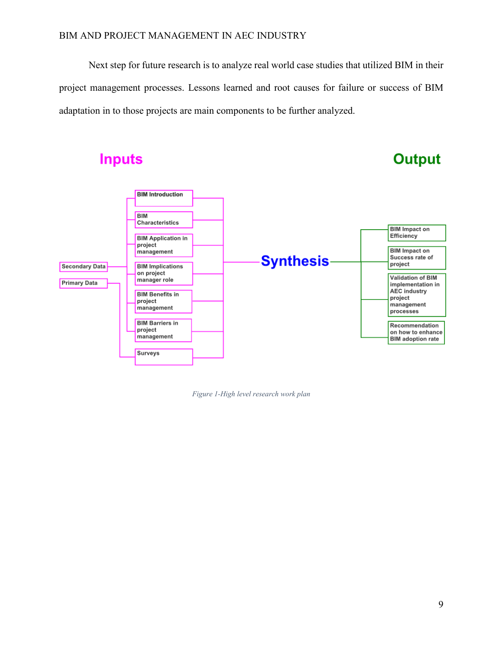Next step for future research is to analyze real world case studies that utilized BIM in their project management processes. Lessons learned and root causes for failure or success of BIM adaptation in to those projects are main components to be further analyzed.

## **Inputs**

# **Output**



*Figure 1-High level research work plan*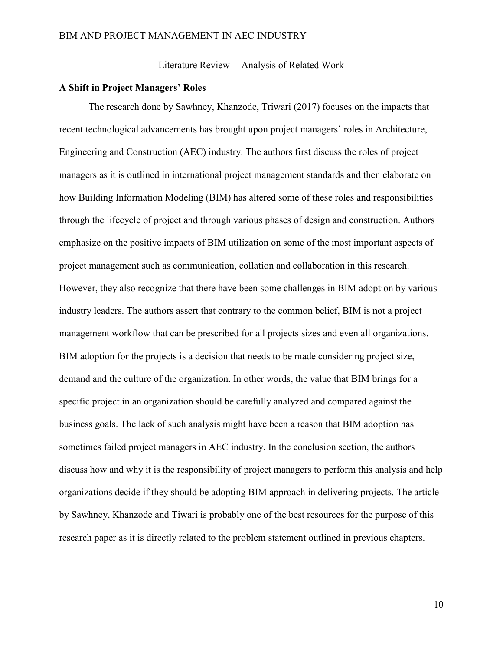Literature Review -- Analysis of Related Work

#### **A Shift in Project Managers' Roles**

The research done by Sawhney, Khanzode, Triwari (2017) focuses on the impacts that recent technological advancements has brought upon project managers' roles in Architecture, Engineering and Construction (AEC) industry. The authors first discuss the roles of project managers as it is outlined in international project management standards and then elaborate on how Building Information Modeling (BIM) has altered some of these roles and responsibilities through the lifecycle of project and through various phases of design and construction. Authors emphasize on the positive impacts of BIM utilization on some of the most important aspects of project management such as communication, collation and collaboration in this research. However, they also recognize that there have been some challenges in BIM adoption by various industry leaders. The authors assert that contrary to the common belief, BIM is not a project management workflow that can be prescribed for all projects sizes and even all organizations. BIM adoption for the projects is a decision that needs to be made considering project size, demand and the culture of the organization. In other words, the value that BIM brings for a specific project in an organization should be carefully analyzed and compared against the business goals. The lack of such analysis might have been a reason that BIM adoption has sometimes failed project managers in AEC industry. In the conclusion section, the authors discuss how and why it is the responsibility of project managers to perform this analysis and help organizations decide if they should be adopting BIM approach in delivering projects. The article by Sawhney, Khanzode and Tiwari is probably one of the best resources for the purpose of this research paper as it is directly related to the problem statement outlined in previous chapters.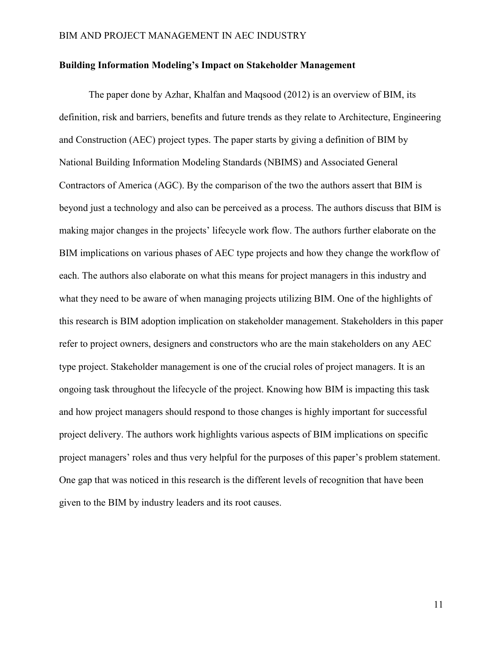#### **Building Information Modeling's Impact on Stakeholder Management**

The paper done by Azhar, Khalfan and Maqsood (2012) is an overview of BIM, its definition, risk and barriers, benefits and future trends as they relate to Architecture, Engineering and Construction (AEC) project types. The paper starts by giving a definition of BIM by National Building Information Modeling Standards (NBIMS) and Associated General Contractors of America (AGC). By the comparison of the two the authors assert that BIM is beyond just a technology and also can be perceived as a process. The authors discuss that BIM is making major changes in the projects' lifecycle work flow. The authors further elaborate on the BIM implications on various phases of AEC type projects and how they change the workflow of each. The authors also elaborate on what this means for project managers in this industry and what they need to be aware of when managing projects utilizing BIM. One of the highlights of this research is BIM adoption implication on stakeholder management. Stakeholders in this paper refer to project owners, designers and constructors who are the main stakeholders on any AEC type project. Stakeholder management is one of the crucial roles of project managers. It is an ongoing task throughout the lifecycle of the project. Knowing how BIM is impacting this task and how project managers should respond to those changes is highly important for successful project delivery. The authors work highlights various aspects of BIM implications on specific project managers' roles and thus very helpful for the purposes of this paper's problem statement. One gap that was noticed in this research is the different levels of recognition that have been given to the BIM by industry leaders and its root causes.

11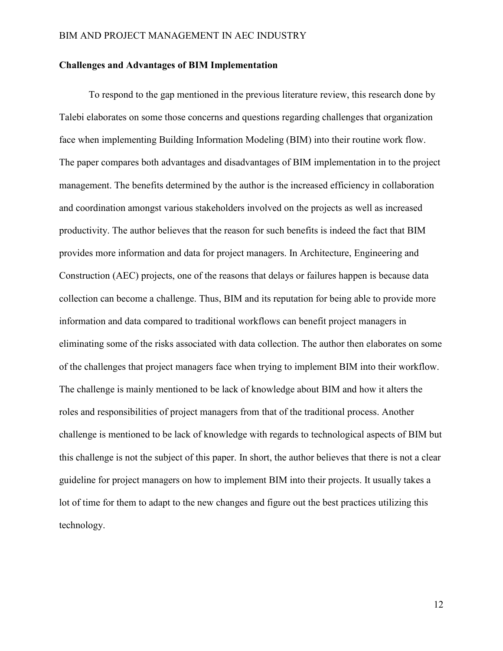#### **Challenges and Advantages of BIM Implementation**

To respond to the gap mentioned in the previous literature review, this research done by Talebi elaborates on some those concerns and questions regarding challenges that organization face when implementing Building Information Modeling (BIM) into their routine work flow. The paper compares both advantages and disadvantages of BIM implementation in to the project management. The benefits determined by the author is the increased efficiency in collaboration and coordination amongst various stakeholders involved on the projects as well as increased productivity. The author believes that the reason for such benefits is indeed the fact that BIM provides more information and data for project managers. In Architecture, Engineering and Construction (AEC) projects, one of the reasons that delays or failures happen is because data collection can become a challenge. Thus, BIM and its reputation for being able to provide more information and data compared to traditional workflows can benefit project managers in eliminating some of the risks associated with data collection. The author then elaborates on some of the challenges that project managers face when trying to implement BIM into their workflow. The challenge is mainly mentioned to be lack of knowledge about BIM and how it alters the roles and responsibilities of project managers from that of the traditional process. Another challenge is mentioned to be lack of knowledge with regards to technological aspects of BIM but this challenge is not the subject of this paper. In short, the author believes that there is not a clear guideline for project managers on how to implement BIM into their projects. It usually takes a lot of time for them to adapt to the new changes and figure out the best practices utilizing this technology.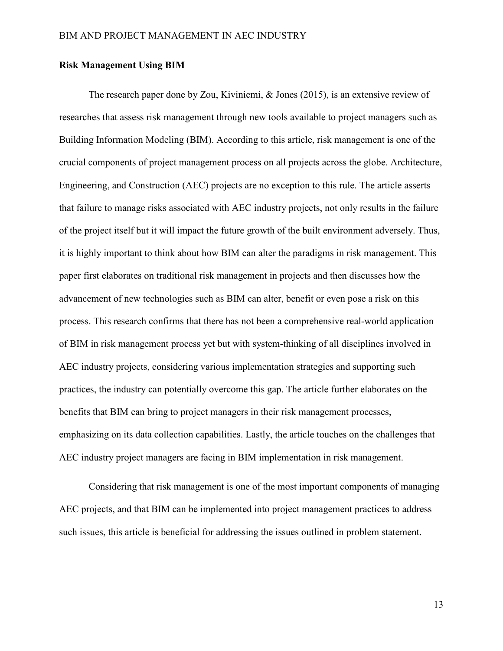#### **Risk Management Using BIM**

The research paper done by Zou, Kiviniemi, & Jones (2015), is an extensive review of researches that assess risk management through new tools available to project managers such as Building Information Modeling (BIM). According to this article, risk management is one of the crucial components of project management process on all projects across the globe. Architecture, Engineering, and Construction (AEC) projects are no exception to this rule. The article asserts that failure to manage risks associated with AEC industry projects, not only results in the failure of the project itself but it will impact the future growth of the built environment adversely. Thus, it is highly important to think about how BIM can alter the paradigms in risk management. This paper first elaborates on traditional risk management in projects and then discusses how the advancement of new technologies such as BIM can alter, benefit or even pose a risk on this process. This research confirms that there has not been a comprehensive real-world application of BIM in risk management process yet but with system-thinking of all disciplines involved in AEC industry projects, considering various implementation strategies and supporting such practices, the industry can potentially overcome this gap. The article further elaborates on the benefits that BIM can bring to project managers in their risk management processes, emphasizing on its data collection capabilities. Lastly, the article touches on the challenges that AEC industry project managers are facing in BIM implementation in risk management.

Considering that risk management is one of the most important components of managing AEC projects, and that BIM can be implemented into project management practices to address such issues, this article is beneficial for addressing the issues outlined in problem statement.

13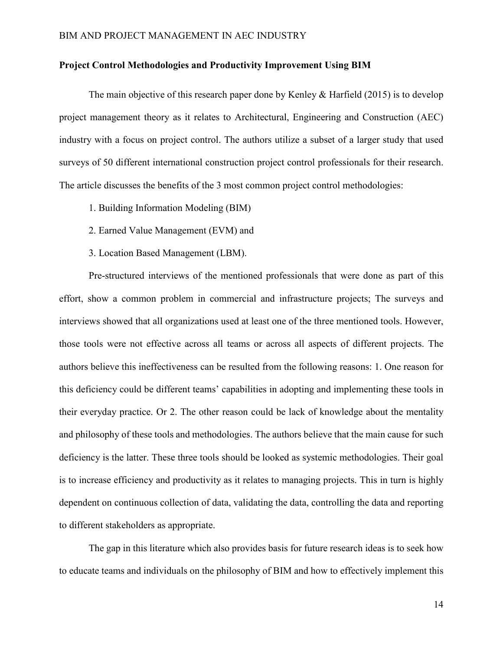#### **Project Control Methodologies and Productivity Improvement Using BIM**

The main objective of this research paper done by Kenley & Harfield (2015) is to develop project management theory as it relates to Architectural, Engineering and Construction (AEC) industry with a focus on project control. The authors utilize a subset of a larger study that used surveys of 50 different international construction project control professionals for their research. The article discusses the benefits of the 3 most common project control methodologies:

- 1. Building Information Modeling (BIM)
- 2. Earned Value Management (EVM) and
- 3. Location Based Management (LBM).

Pre-structured interviews of the mentioned professionals that were done as part of this effort, show a common problem in commercial and infrastructure projects; The surveys and interviews showed that all organizations used at least one of the three mentioned tools. However, those tools were not effective across all teams or across all aspects of different projects. The authors believe this ineffectiveness can be resulted from the following reasons: 1. One reason for this deficiency could be different teams' capabilities in adopting and implementing these tools in their everyday practice. Or 2. The other reason could be lack of knowledge about the mentality and philosophy of these tools and methodologies. The authors believe that the main cause for such deficiency is the latter. These three tools should be looked as systemic methodologies. Their goal is to increase efficiency and productivity as it relates to managing projects. This in turn is highly dependent on continuous collection of data, validating the data, controlling the data and reporting to different stakeholders as appropriate.

The gap in this literature which also provides basis for future research ideas is to seek how to educate teams and individuals on the philosophy of BIM and how to effectively implement this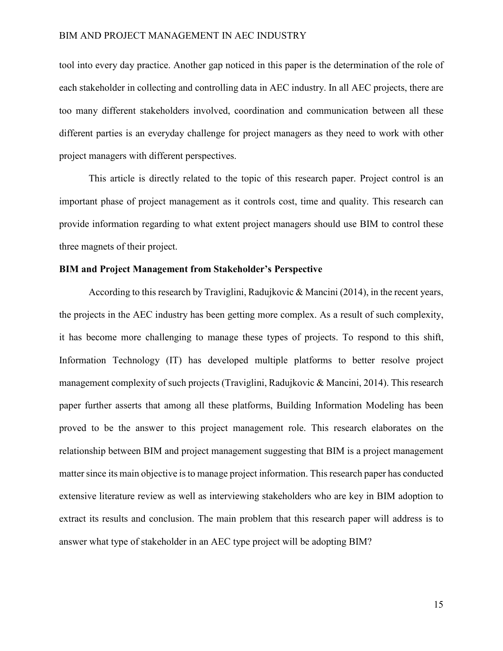tool into every day practice. Another gap noticed in this paper is the determination of the role of each stakeholder in collecting and controlling data in AEC industry. In all AEC projects, there are too many different stakeholders involved, coordination and communication between all these different parties is an everyday challenge for project managers as they need to work with other project managers with different perspectives.

This article is directly related to the topic of this research paper. Project control is an important phase of project management as it controls cost, time and quality. This research can provide information regarding to what extent project managers should use BIM to control these three magnets of their project.

#### **BIM and Project Management from Stakeholder's Perspective**

According to this research by Traviglini, Radujkovic & Mancini (2014), in the recent years, the projects in the AEC industry has been getting more complex. As a result of such complexity, it has become more challenging to manage these types of projects. To respond to this shift, Information Technology (IT) has developed multiple platforms to better resolve project management complexity of such projects (Traviglini, Radujkovic & Mancini, 2014). This research paper further asserts that among all these platforms, Building Information Modeling has been proved to be the answer to this project management role. This research elaborates on the relationship between BIM and project management suggesting that BIM is a project management matter since its main objective is to manage project information. This research paper has conducted extensive literature review as well as interviewing stakeholders who are key in BIM adoption to extract its results and conclusion. The main problem that this research paper will address is to answer what type of stakeholder in an AEC type project will be adopting BIM?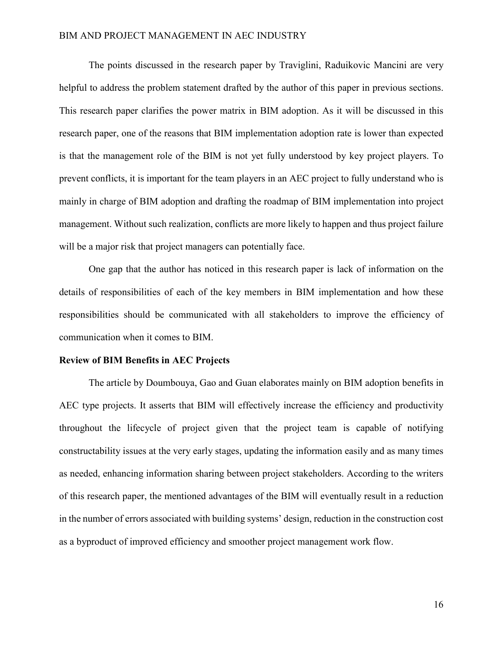The points discussed in the research paper by Traviglini, Raduikovic Mancini are very helpful to address the problem statement drafted by the author of this paper in previous sections. This research paper clarifies the power matrix in BIM adoption. As it will be discussed in this research paper, one of the reasons that BIM implementation adoption rate is lower than expected is that the management role of the BIM is not yet fully understood by key project players. To prevent conflicts, it is important for the team players in an AEC project to fully understand who is mainly in charge of BIM adoption and drafting the roadmap of BIM implementation into project management. Without such realization, conflicts are more likely to happen and thus project failure will be a major risk that project managers can potentially face.

One gap that the author has noticed in this research paper is lack of information on the details of responsibilities of each of the key members in BIM implementation and how these responsibilities should be communicated with all stakeholders to improve the efficiency of communication when it comes to BIM.

#### **Review of BIM Benefits in AEC Projects**

The article by Doumbouya, Gao and Guan elaborates mainly on BIM adoption benefits in AEC type projects. It asserts that BIM will effectively increase the efficiency and productivity throughout the lifecycle of project given that the project team is capable of notifying constructability issues at the very early stages, updating the information easily and as many times as needed, enhancing information sharing between project stakeholders. According to the writers of this research paper, the mentioned advantages of the BIM will eventually result in a reduction in the number of errors associated with building systems' design, reduction in the construction cost as a byproduct of improved efficiency and smoother project management work flow.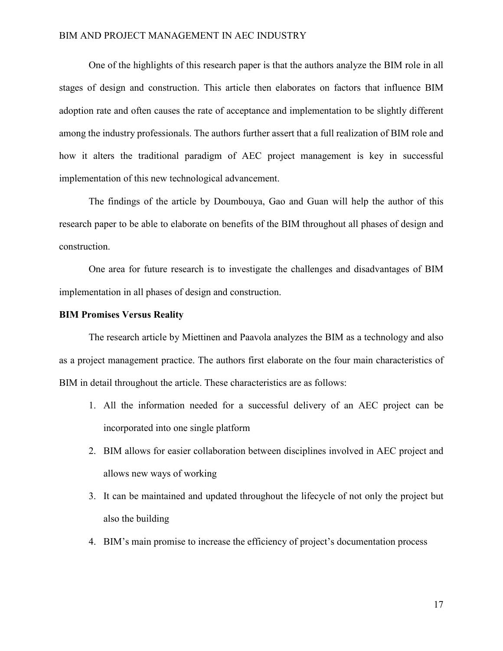One of the highlights of this research paper is that the authors analyze the BIM role in all stages of design and construction. This article then elaborates on factors that influence BIM adoption rate and often causes the rate of acceptance and implementation to be slightly different among the industry professionals. The authors further assert that a full realization of BIM role and how it alters the traditional paradigm of AEC project management is key in successful implementation of this new technological advancement.

The findings of the article by Doumbouya, Gao and Guan will help the author of this research paper to be able to elaborate on benefits of the BIM throughout all phases of design and construction.

One area for future research is to investigate the challenges and disadvantages of BIM implementation in all phases of design and construction.

#### **BIM Promises Versus Reality**

The research article by Miettinen and Paavola analyzes the BIM as a technology and also as a project management practice. The authors first elaborate on the four main characteristics of BIM in detail throughout the article. These characteristics are as follows:

- 1. All the information needed for a successful delivery of an AEC project can be incorporated into one single platform
- 2. BIM allows for easier collaboration between disciplines involved in AEC project and allows new ways of working
- 3. It can be maintained and updated throughout the lifecycle of not only the project but also the building
- 4. BIM's main promise to increase the efficiency of project's documentation process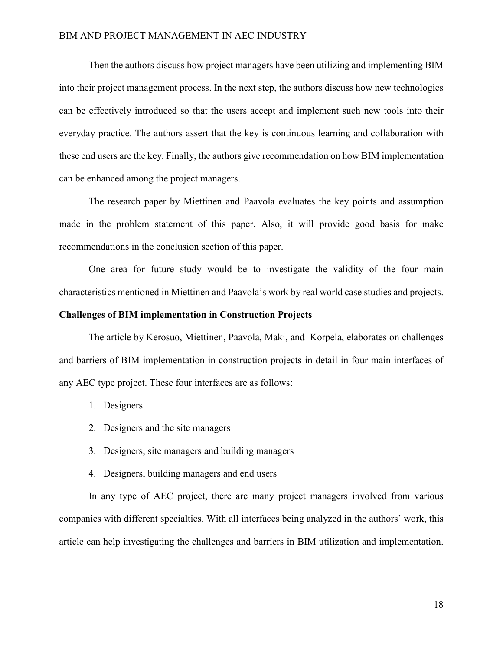Then the authors discuss how project managers have been utilizing and implementing BIM into their project management process. In the next step, the authors discuss how new technologies can be effectively introduced so that the users accept and implement such new tools into their everyday practice. The authors assert that the key is continuous learning and collaboration with these end users are the key. Finally, the authors give recommendation on how BIM implementation can be enhanced among the project managers.

The research paper by Miettinen and Paavola evaluates the key points and assumption made in the problem statement of this paper. Also, it will provide good basis for make recommendations in the conclusion section of this paper.

One area for future study would be to investigate the validity of the four main characteristics mentioned in Miettinen and Paavola's work by real world case studies and projects.

#### **Challenges of BIM implementation in Construction Projects**

The article by Kerosuo, Miettinen, Paavola, Maki, and Korpela, elaborates on challenges and barriers of BIM implementation in construction projects in detail in four main interfaces of any AEC type project. These four interfaces are as follows:

- 1. Designers
- 2. Designers and the site managers
- 3. Designers, site managers and building managers
- 4. Designers, building managers and end users

In any type of AEC project, there are many project managers involved from various companies with different specialties. With all interfaces being analyzed in the authors' work, this article can help investigating the challenges and barriers in BIM utilization and implementation.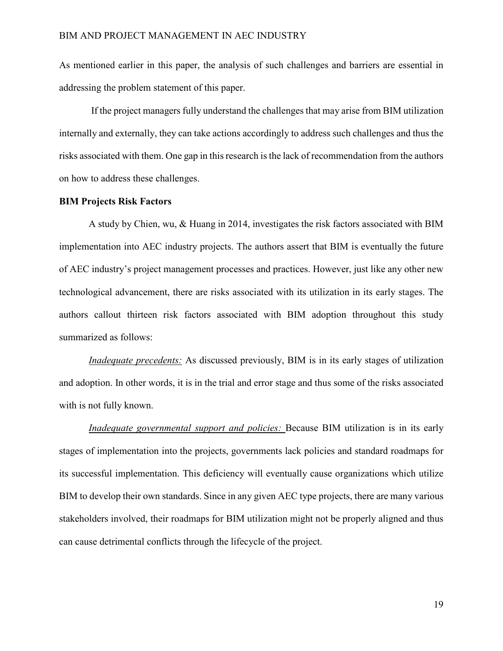As mentioned earlier in this paper, the analysis of such challenges and barriers are essential in addressing the problem statement of this paper.

 If the project managers fully understand the challenges that may arise from BIM utilization internally and externally, they can take actions accordingly to address such challenges and thus the risks associated with them. One gap in this research is the lack of recommendation from the authors on how to address these challenges.

#### **BIM Projects Risk Factors**

A study by Chien, wu, & Huang in 2014, investigates the risk factors associated with BIM implementation into AEC industry projects. The authors assert that BIM is eventually the future of AEC industry's project management processes and practices. However, just like any other new technological advancement, there are risks associated with its utilization in its early stages. The authors callout thirteen risk factors associated with BIM adoption throughout this study summarized as follows:

*Inadequate precedents:* As discussed previously, BIM is in its early stages of utilization and adoption. In other words, it is in the trial and error stage and thus some of the risks associated with is not fully known.

*Inadequate governmental support and policies:* Because BIM utilization is in its early stages of implementation into the projects, governments lack policies and standard roadmaps for its successful implementation. This deficiency will eventually cause organizations which utilize BIM to develop their own standards. Since in any given AEC type projects, there are many various stakeholders involved, their roadmaps for BIM utilization might not be properly aligned and thus can cause detrimental conflicts through the lifecycle of the project.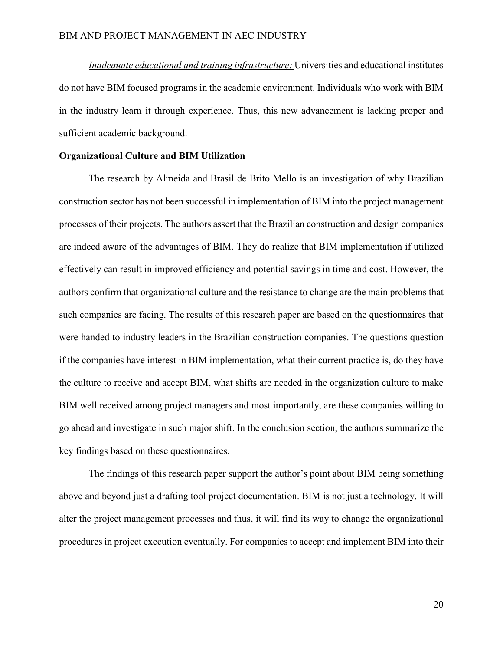*Inadequate educational and training infrastructure:* Universities and educational institutes do not have BIM focused programs in the academic environment. Individuals who work with BIM in the industry learn it through experience. Thus, this new advancement is lacking proper and sufficient academic background.

#### **Organizational Culture and BIM Utilization**

The research by Almeida and Brasil de Brito Mello is an investigation of why Brazilian construction sector has not been successful in implementation of BIM into the project management processes of their projects. The authors assert that the Brazilian construction and design companies are indeed aware of the advantages of BIM. They do realize that BIM implementation if utilized effectively can result in improved efficiency and potential savings in time and cost. However, the authors confirm that organizational culture and the resistance to change are the main problems that such companies are facing. The results of this research paper are based on the questionnaires that were handed to industry leaders in the Brazilian construction companies. The questions question if the companies have interest in BIM implementation, what their current practice is, do they have the culture to receive and accept BIM, what shifts are needed in the organization culture to make BIM well received among project managers and most importantly, are these companies willing to go ahead and investigate in such major shift. In the conclusion section, the authors summarize the key findings based on these questionnaires.

The findings of this research paper support the author's point about BIM being something above and beyond just a drafting tool project documentation. BIM is not just a technology. It will alter the project management processes and thus, it will find its way to change the organizational procedures in project execution eventually. For companies to accept and implement BIM into their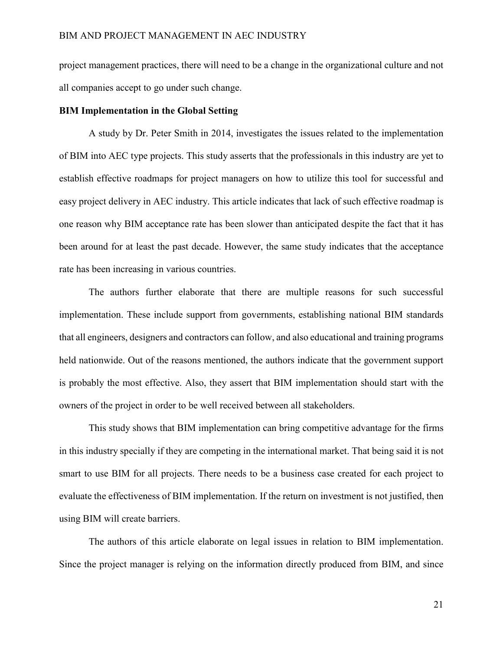project management practices, there will need to be a change in the organizational culture and not all companies accept to go under such change.

#### **BIM Implementation in the Global Setting**

A study by Dr. Peter Smith in 2014, investigates the issues related to the implementation of BIM into AEC type projects. This study asserts that the professionals in this industry are yet to establish effective roadmaps for project managers on how to utilize this tool for successful and easy project delivery in AEC industry. This article indicates that lack of such effective roadmap is one reason why BIM acceptance rate has been slower than anticipated despite the fact that it has been around for at least the past decade. However, the same study indicates that the acceptance rate has been increasing in various countries.

The authors further elaborate that there are multiple reasons for such successful implementation. These include support from governments, establishing national BIM standards that all engineers, designers and contractors can follow, and also educational and training programs held nationwide. Out of the reasons mentioned, the authors indicate that the government support is probably the most effective. Also, they assert that BIM implementation should start with the owners of the project in order to be well received between all stakeholders.

This study shows that BIM implementation can bring competitive advantage for the firms in this industry specially if they are competing in the international market. That being said it is not smart to use BIM for all projects. There needs to be a business case created for each project to evaluate the effectiveness of BIM implementation. If the return on investment is not justified, then using BIM will create barriers.

The authors of this article elaborate on legal issues in relation to BIM implementation. Since the project manager is relying on the information directly produced from BIM, and since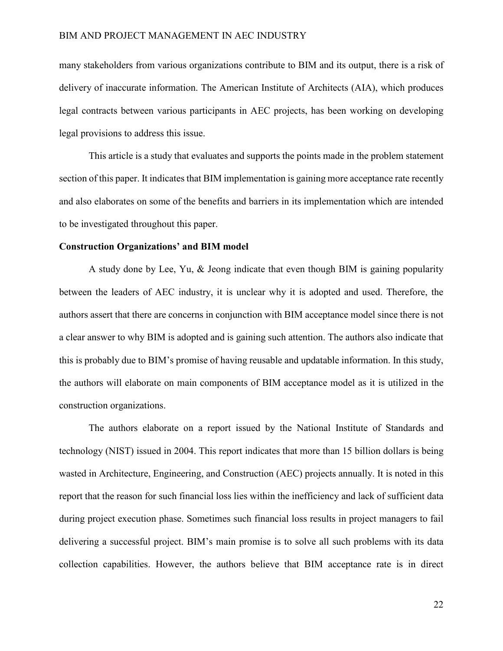many stakeholders from various organizations contribute to BIM and its output, there is a risk of delivery of inaccurate information. The American Institute of Architects (AIA), which produces legal contracts between various participants in AEC projects, has been working on developing legal provisions to address this issue.

This article is a study that evaluates and supports the points made in the problem statement section of this paper. It indicates that BIM implementation is gaining more acceptance rate recently and also elaborates on some of the benefits and barriers in its implementation which are intended to be investigated throughout this paper.

#### **Construction Organizations' and BIM model**

A study done by Lee, Yu, & Jeong indicate that even though BIM is gaining popularity between the leaders of AEC industry, it is unclear why it is adopted and used. Therefore, the authors assert that there are concerns in conjunction with BIM acceptance model since there is not a clear answer to why BIM is adopted and is gaining such attention. The authors also indicate that this is probably due to BIM's promise of having reusable and updatable information. In this study, the authors will elaborate on main components of BIM acceptance model as it is utilized in the construction organizations.

The authors elaborate on a report issued by the National Institute of Standards and technology (NIST) issued in 2004. This report indicates that more than 15 billion dollars is being wasted in Architecture, Engineering, and Construction (AEC) projects annually. It is noted in this report that the reason for such financial loss lies within the inefficiency and lack of sufficient data during project execution phase. Sometimes such financial loss results in project managers to fail delivering a successful project. BIM's main promise is to solve all such problems with its data collection capabilities. However, the authors believe that BIM acceptance rate is in direct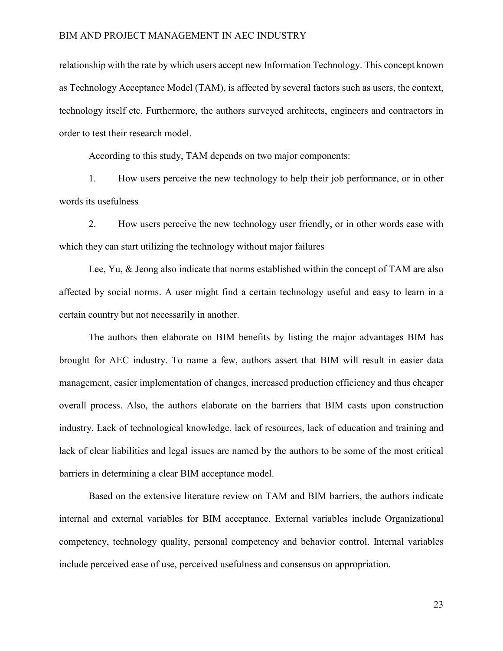relationship with the rate by which users accept new Information Technology. This concept known as Technology Acceptance Model (TAM), is affected by several factors such as users, the context, technology itself etc. Furthermore, the authors surveyed architects, engineers and contractors in order to test their research model.

According to this study, TAM depends on two major components:

1. How users perceive the new technology to help their job performance, or in other words its usefulness

2. How users perceive the new technology user friendly, or in other words ease with which they can start utilizing the technology without major failures

Lee, Yu, & Jeong also indicate that norms established within the concept of TAM are also affected by social norms. A user might find a certain technology useful and easy to learn in a certain country but not necessarily in another.

The authors then elaborate on BIM benefits by listing the major advantages BIM has brought for AEC industry. To name a few, authors assert that BIM will result in easier data management, easier implementation of changes, increased production efficiency and thus cheaper overall process. Also, the authors elaborate on the barriers that BIM casts upon construction industry. Lack of technological knowledge, lack of resources, lack of education and training and lack of clear liabilities and legal issues are named by the authors to be some of the most critical barriers in determining a clear BIM acceptance model.

Based on the extensive literature review on TAM and BIM barriers, the authors indicate internal and external variables for BIM acceptance. External variables include Organizational competency, technology quality, personal competency and behavior control. Internal variables include perceived ease of use, perceived usefulness and consensus on appropriation.

23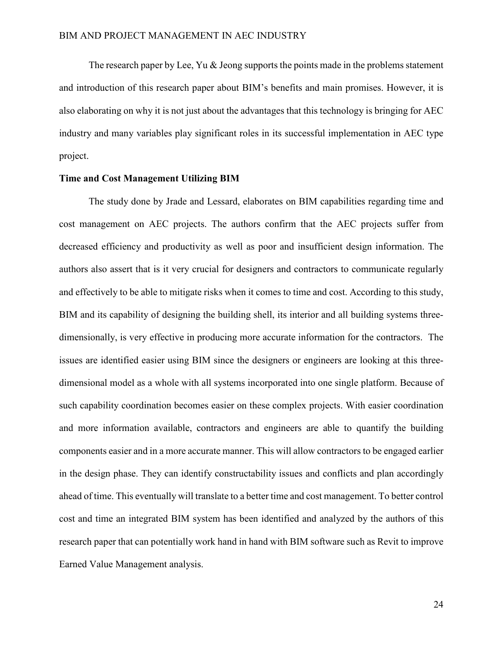The research paper by Lee, Yu  $&$  Jeong supports the points made in the problems statement and introduction of this research paper about BIM's benefits and main promises. However, it is also elaborating on why it is not just about the advantages that this technology is bringing for AEC industry and many variables play significant roles in its successful implementation in AEC type project.

#### **Time and Cost Management Utilizing BIM**

The study done by Jrade and Lessard, elaborates on BIM capabilities regarding time and cost management on AEC projects. The authors confirm that the AEC projects suffer from decreased efficiency and productivity as well as poor and insufficient design information. The authors also assert that is it very crucial for designers and contractors to communicate regularly and effectively to be able to mitigate risks when it comes to time and cost. According to this study, BIM and its capability of designing the building shell, its interior and all building systems threedimensionally, is very effective in producing more accurate information for the contractors. The issues are identified easier using BIM since the designers or engineers are looking at this threedimensional model as a whole with all systems incorporated into one single platform. Because of such capability coordination becomes easier on these complex projects. With easier coordination and more information available, contractors and engineers are able to quantify the building components easier and in a more accurate manner. This will allow contractors to be engaged earlier in the design phase. They can identify constructability issues and conflicts and plan accordingly ahead of time. This eventually will translate to a better time and cost management. To better control cost and time an integrated BIM system has been identified and analyzed by the authors of this research paper that can potentially work hand in hand with BIM software such as Revit to improve Earned Value Management analysis.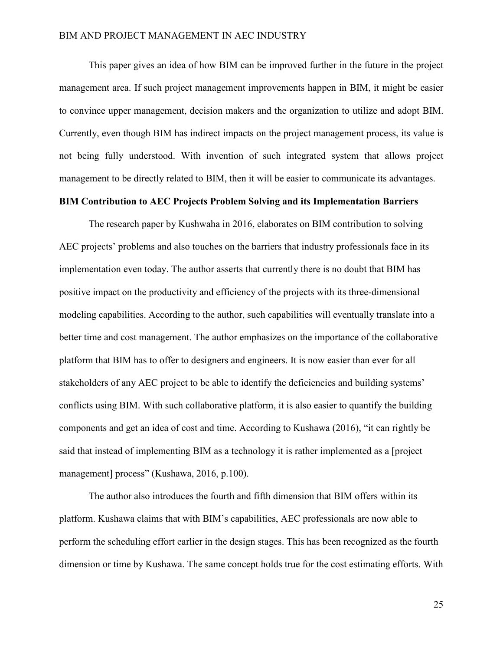This paper gives an idea of how BIM can be improved further in the future in the project management area. If such project management improvements happen in BIM, it might be easier to convince upper management, decision makers and the organization to utilize and adopt BIM. Currently, even though BIM has indirect impacts on the project management process, its value is not being fully understood. With invention of such integrated system that allows project management to be directly related to BIM, then it will be easier to communicate its advantages.

#### **BIM Contribution to AEC Projects Problem Solving and its Implementation Barriers**

The research paper by Kushwaha in 2016, elaborates on BIM contribution to solving AEC projects' problems and also touches on the barriers that industry professionals face in its implementation even today. The author asserts that currently there is no doubt that BIM has positive impact on the productivity and efficiency of the projects with its three-dimensional modeling capabilities. According to the author, such capabilities will eventually translate into a better time and cost management. The author emphasizes on the importance of the collaborative platform that BIM has to offer to designers and engineers. It is now easier than ever for all stakeholders of any AEC project to be able to identify the deficiencies and building systems' conflicts using BIM. With such collaborative platform, it is also easier to quantify the building components and get an idea of cost and time. According to Kushawa (2016), "it can rightly be said that instead of implementing BIM as a technology it is rather implemented as a [project management] process" (Kushawa, 2016, p.100).

The author also introduces the fourth and fifth dimension that BIM offers within its platform. Kushawa claims that with BIM's capabilities, AEC professionals are now able to perform the scheduling effort earlier in the design stages. This has been recognized as the fourth dimension or time by Kushawa. The same concept holds true for the cost estimating efforts. With

25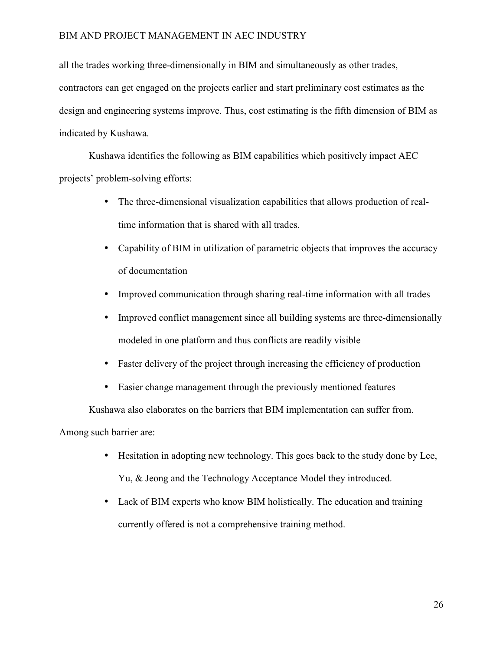all the trades working three-dimensionally in BIM and simultaneously as other trades, contractors can get engaged on the projects earlier and start preliminary cost estimates as the design and engineering systems improve. Thus, cost estimating is the fifth dimension of BIM as indicated by Kushawa.

Kushawa identifies the following as BIM capabilities which positively impact AEC projects' problem-solving efforts:

- The three-dimensional visualization capabilities that allows production of realtime information that is shared with all trades.
- Capability of BIM in utilization of parametric objects that improves the accuracy of documentation
- Improved communication through sharing real-time information with all trades
- Improved conflict management since all building systems are three-dimensionally modeled in one platform and thus conflicts are readily visible
- Faster delivery of the project through increasing the efficiency of production
- Easier change management through the previously mentioned features

Kushawa also elaborates on the barriers that BIM implementation can suffer from.

Among such barrier are:

- Hesitation in adopting new technology. This goes back to the study done by Lee, Yu, & Jeong and the Technology Acceptance Model they introduced.
- Lack of BIM experts who know BIM holistically. The education and training currently offered is not a comprehensive training method.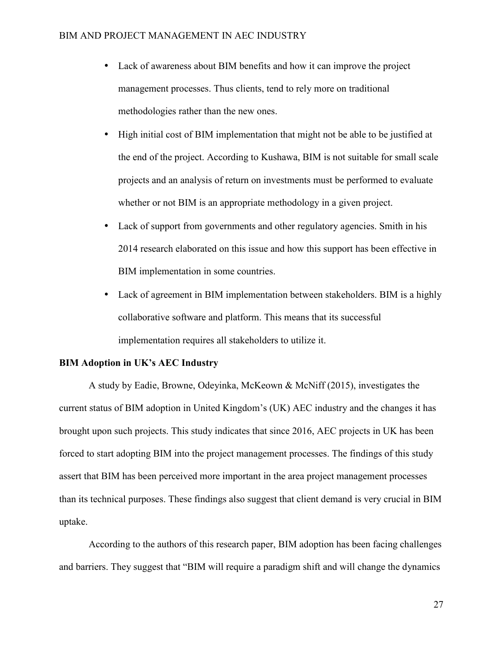- Lack of awareness about BIM benefits and how it can improve the project management processes. Thus clients, tend to rely more on traditional methodologies rather than the new ones.
- High initial cost of BIM implementation that might not be able to be justified at the end of the project. According to Kushawa, BIM is not suitable for small scale projects and an analysis of return on investments must be performed to evaluate whether or not BIM is an appropriate methodology in a given project.
- Lack of support from governments and other regulatory agencies. Smith in his 2014 research elaborated on this issue and how this support has been effective in BIM implementation in some countries.
- Lack of agreement in BIM implementation between stakeholders. BIM is a highly collaborative software and platform. This means that its successful implementation requires all stakeholders to utilize it.

#### **BIM Adoption in UK's AEC Industry**

A study by Eadie, Browne, Odeyinka, McKeown & McNiff (2015), investigates the current status of BIM adoption in United Kingdom's (UK) AEC industry and the changes it has brought upon such projects. This study indicates that since 2016, AEC projects in UK has been forced to start adopting BIM into the project management processes. The findings of this study assert that BIM has been perceived more important in the area project management processes than its technical purposes. These findings also suggest that client demand is very crucial in BIM uptake.

According to the authors of this research paper, BIM adoption has been facing challenges and barriers. They suggest that "BIM will require a paradigm shift and will change the dynamics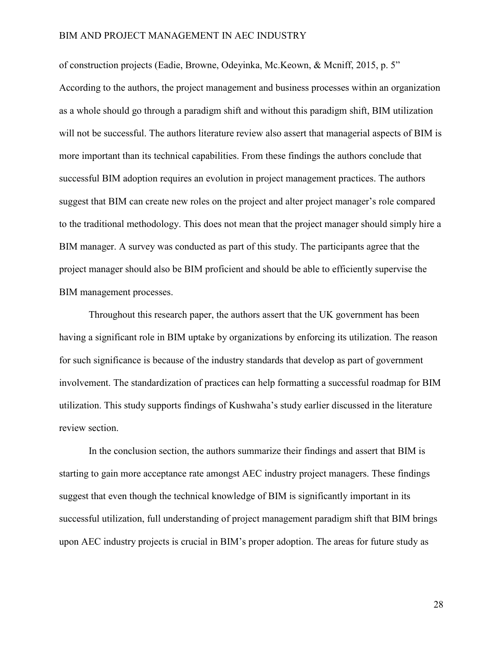of construction projects (Eadie, Browne, Odeyinka, Mc.Keown, & Mcniff, 2015, p. 5" According to the authors, the project management and business processes within an organization as a whole should go through a paradigm shift and without this paradigm shift, BIM utilization will not be successful. The authors literature review also assert that managerial aspects of BIM is more important than its technical capabilities. From these findings the authors conclude that successful BIM adoption requires an evolution in project management practices. The authors suggest that BIM can create new roles on the project and alter project manager's role compared to the traditional methodology. This does not mean that the project manager should simply hire a BIM manager. A survey was conducted as part of this study. The participants agree that the project manager should also be BIM proficient and should be able to efficiently supervise the BIM management processes.

Throughout this research paper, the authors assert that the UK government has been having a significant role in BIM uptake by organizations by enforcing its utilization. The reason for such significance is because of the industry standards that develop as part of government involvement. The standardization of practices can help formatting a successful roadmap for BIM utilization. This study supports findings of Kushwaha's study earlier discussed in the literature review section.

In the conclusion section, the authors summarize their findings and assert that BIM is starting to gain more acceptance rate amongst AEC industry project managers. These findings suggest that even though the technical knowledge of BIM is significantly important in its successful utilization, full understanding of project management paradigm shift that BIM brings upon AEC industry projects is crucial in BIM's proper adoption. The areas for future study as

28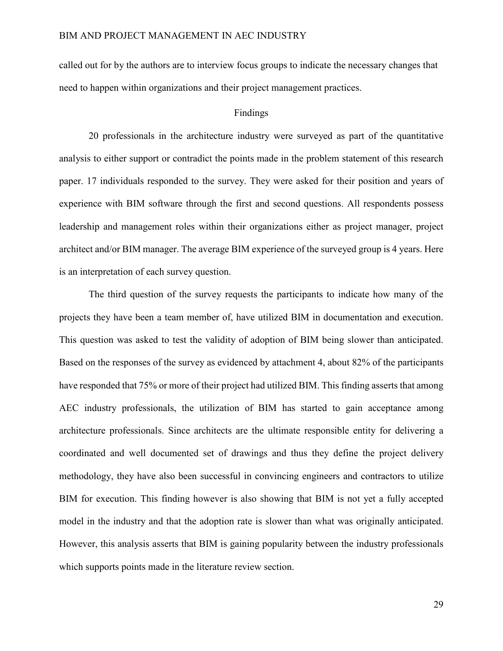called out for by the authors are to interview focus groups to indicate the necessary changes that need to happen within organizations and their project management practices.

#### Findings

20 professionals in the architecture industry were surveyed as part of the quantitative analysis to either support or contradict the points made in the problem statement of this research paper. 17 individuals responded to the survey. They were asked for their position and years of experience with BIM software through the first and second questions. All respondents possess leadership and management roles within their organizations either as project manager, project architect and/or BIM manager. The average BIM experience of the surveyed group is 4 years. Here is an interpretation of each survey question.

The third question of the survey requests the participants to indicate how many of the projects they have been a team member of, have utilized BIM in documentation and execution. This question was asked to test the validity of adoption of BIM being slower than anticipated. Based on the responses of the survey as evidenced by attachment 4, about 82% of the participants have responded that 75% or more of their project had utilized BIM. This finding asserts that among AEC industry professionals, the utilization of BIM has started to gain acceptance among architecture professionals. Since architects are the ultimate responsible entity for delivering a coordinated and well documented set of drawings and thus they define the project delivery methodology, they have also been successful in convincing engineers and contractors to utilize BIM for execution. This finding however is also showing that BIM is not yet a fully accepted model in the industry and that the adoption rate is slower than what was originally anticipated. However, this analysis asserts that BIM is gaining popularity between the industry professionals which supports points made in the literature review section.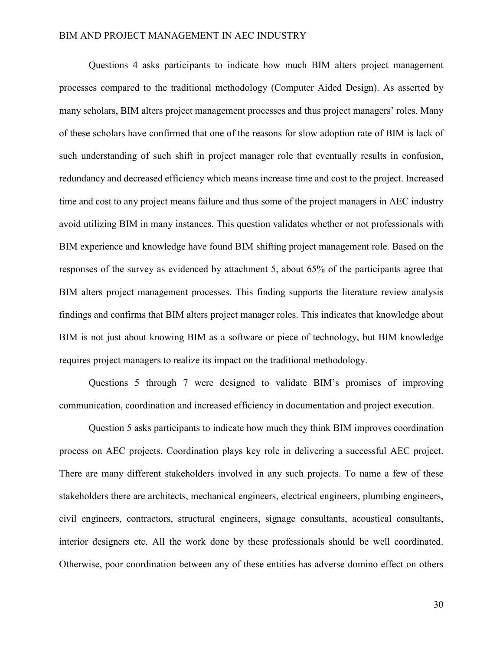Questions 4 asks participants to indicate how much BIM alters project management processes compared to the traditional methodology (Computer Aided Design). As asserted by many scholars, BIM alters project management processes and thus project managers' roles. Many of these scholars have confirmed that one of the reasons for slow adoption rate of BIM is lack of such understanding of such shift in project manager role that eventually results in confusion, redundancy and decreased efficiency which means increase time and cost to the project. Increased time and cost to any project means failure and thus some of the project managers in AEC industry avoid utilizing BIM in many instances. This question validates whether or not professionals with BIM experience and knowledge have found BIM shifting project management role. Based on the responses of the survey as evidenced by attachment 5, about 65% of the participants agree that BIM alters project management processes. This finding supports the literature review analysis findings and confirms that BIM alters project manager roles. This indicates that knowledge about BIM is not just about knowing BIM as a software or piece of technology, but BIM knowledge requires project managers to realize its impact on the traditional methodology.

Questions 5 through 7 were designed to validate BIM's promises of improving communication, coordination and increased efficiency in documentation and project execution.

Question 5 asks participants to indicate how much they think BIM improves coordination process on AEC projects. Coordination plays key role in delivering a successful AEC project. There are many different stakeholders involved in any such projects. To name a few of these stakeholders there are architects, mechanical engineers, electrical engineers, plumbing engineers, civil engineers, contractors, structural engineers, signage consultants, acoustical consultants, interior designers etc. All the work done by these professionals should be well coordinated. Otherwise, poor coordination between any of these entities has adverse domino effect on others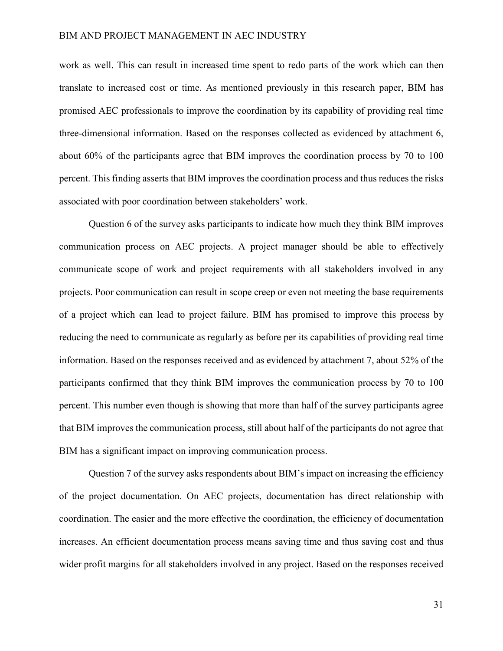work as well. This can result in increased time spent to redo parts of the work which can then translate to increased cost or time. As mentioned previously in this research paper, BIM has promised AEC professionals to improve the coordination by its capability of providing real time three-dimensional information. Based on the responses collected as evidenced by attachment 6, about 60% of the participants agree that BIM improves the coordination process by 70 to 100 percent. This finding asserts that BIM improves the coordination process and thus reduces the risks associated with poor coordination between stakeholders' work.

Question 6 of the survey asks participants to indicate how much they think BIM improves communication process on AEC projects. A project manager should be able to effectively communicate scope of work and project requirements with all stakeholders involved in any projects. Poor communication can result in scope creep or even not meeting the base requirements of a project which can lead to project failure. BIM has promised to improve this process by reducing the need to communicate as regularly as before per its capabilities of providing real time information. Based on the responses received and as evidenced by attachment 7, about 52% of the participants confirmed that they think BIM improves the communication process by 70 to 100 percent. This number even though is showing that more than half of the survey participants agree that BIM improves the communication process, still about half of the participants do not agree that BIM has a significant impact on improving communication process.

Question 7 of the survey asks respondents about BIM's impact on increasing the efficiency of the project documentation. On AEC projects, documentation has direct relationship with coordination. The easier and the more effective the coordination, the efficiency of documentation increases. An efficient documentation process means saving time and thus saving cost and thus wider profit margins for all stakeholders involved in any project. Based on the responses received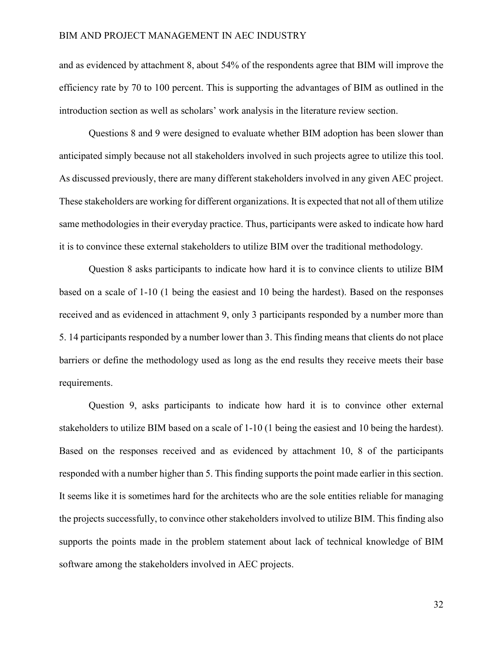and as evidenced by attachment 8, about 54% of the respondents agree that BIM will improve the efficiency rate by 70 to 100 percent. This is supporting the advantages of BIM as outlined in the introduction section as well as scholars' work analysis in the literature review section.

Questions 8 and 9 were designed to evaluate whether BIM adoption has been slower than anticipated simply because not all stakeholders involved in such projects agree to utilize this tool. As discussed previously, there are many different stakeholders involved in any given AEC project. These stakeholders are working for different organizations. It is expected that not all of them utilize same methodologies in their everyday practice. Thus, participants were asked to indicate how hard it is to convince these external stakeholders to utilize BIM over the traditional methodology.

Question 8 asks participants to indicate how hard it is to convince clients to utilize BIM based on a scale of 1-10 (1 being the easiest and 10 being the hardest). Based on the responses received and as evidenced in attachment 9, only 3 participants responded by a number more than 5. 14 participants responded by a number lower than 3. This finding means that clients do not place barriers or define the methodology used as long as the end results they receive meets their base requirements.

Question 9, asks participants to indicate how hard it is to convince other external stakeholders to utilize BIM based on a scale of 1-10 (1 being the easiest and 10 being the hardest). Based on the responses received and as evidenced by attachment 10, 8 of the participants responded with a number higher than 5. This finding supports the point made earlier in this section. It seems like it is sometimes hard for the architects who are the sole entities reliable for managing the projects successfully, to convince other stakeholders involved to utilize BIM. This finding also supports the points made in the problem statement about lack of technical knowledge of BIM software among the stakeholders involved in AEC projects.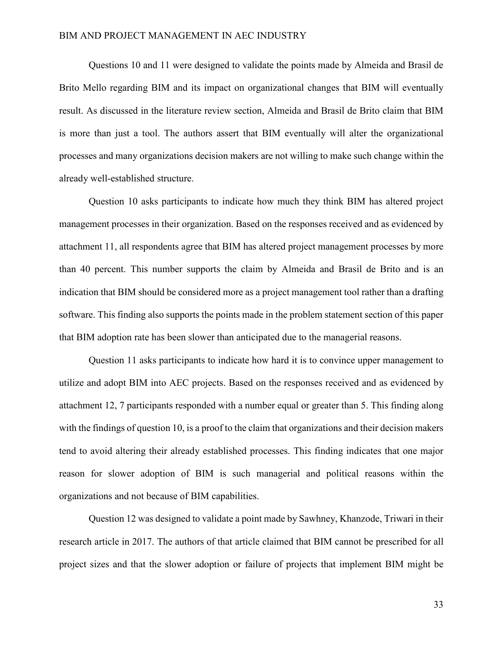Questions 10 and 11 were designed to validate the points made by Almeida and Brasil de Brito Mello regarding BIM and its impact on organizational changes that BIM will eventually result. As discussed in the literature review section, Almeida and Brasil de Brito claim that BIM is more than just a tool. The authors assert that BIM eventually will alter the organizational processes and many organizations decision makers are not willing to make such change within the already well-established structure.

Question 10 asks participants to indicate how much they think BIM has altered project management processes in their organization. Based on the responses received and as evidenced by attachment 11, all respondents agree that BIM has altered project management processes by more than 40 percent. This number supports the claim by Almeida and Brasil de Brito and is an indication that BIM should be considered more as a project management tool rather than a drafting software. This finding also supports the points made in the problem statement section of this paper that BIM adoption rate has been slower than anticipated due to the managerial reasons.

Question 11 asks participants to indicate how hard it is to convince upper management to utilize and adopt BIM into AEC projects. Based on the responses received and as evidenced by attachment 12, 7 participants responded with a number equal or greater than 5. This finding along with the findings of question 10, is a proof to the claim that organizations and their decision makers tend to avoid altering their already established processes. This finding indicates that one major reason for slower adoption of BIM is such managerial and political reasons within the organizations and not because of BIM capabilities.

Question 12 was designed to validate a point made by Sawhney, Khanzode, Triwari in their research article in 2017. The authors of that article claimed that BIM cannot be prescribed for all project sizes and that the slower adoption or failure of projects that implement BIM might be

33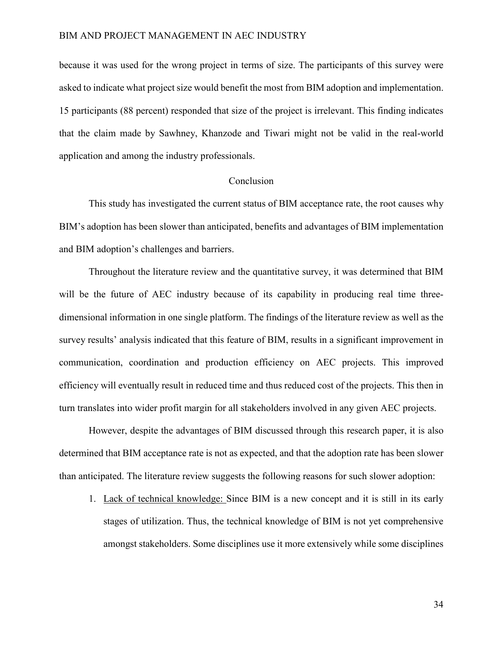because it was used for the wrong project in terms of size. The participants of this survey were asked to indicate what project size would benefit the most from BIM adoption and implementation. 15 participants (88 percent) responded that size of the project is irrelevant. This finding indicates that the claim made by Sawhney, Khanzode and Tiwari might not be valid in the real-world application and among the industry professionals.

#### Conclusion

This study has investigated the current status of BIM acceptance rate, the root causes why BIM's adoption has been slower than anticipated, benefits and advantages of BIM implementation and BIM adoption's challenges and barriers.

Throughout the literature review and the quantitative survey, it was determined that BIM will be the future of AEC industry because of its capability in producing real time threedimensional information in one single platform. The findings of the literature review as well as the survey results' analysis indicated that this feature of BIM, results in a significant improvement in communication, coordination and production efficiency on AEC projects. This improved efficiency will eventually result in reduced time and thus reduced cost of the projects. This then in turn translates into wider profit margin for all stakeholders involved in any given AEC projects.

However, despite the advantages of BIM discussed through this research paper, it is also determined that BIM acceptance rate is not as expected, and that the adoption rate has been slower than anticipated. The literature review suggests the following reasons for such slower adoption:

1. Lack of technical knowledge: Since BIM is a new concept and it is still in its early stages of utilization. Thus, the technical knowledge of BIM is not yet comprehensive amongst stakeholders. Some disciplines use it more extensively while some disciplines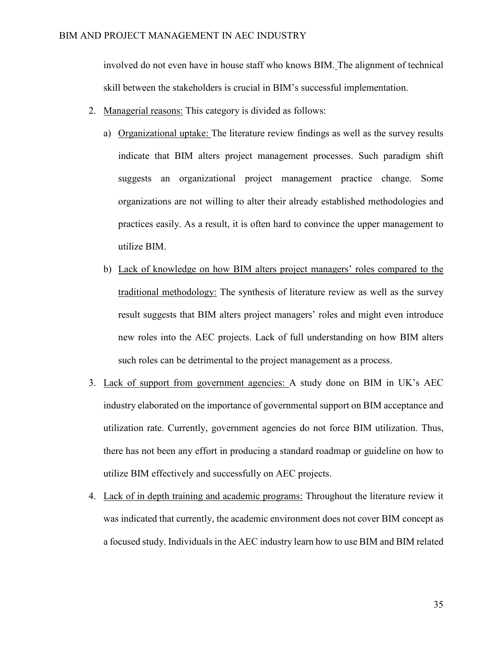involved do not even have in house staff who knows BIM. The alignment of technical skill between the stakeholders is crucial in BIM's successful implementation.

- 2. Managerial reasons: This category is divided as follows:
	- a) Organizational uptake: The literature review findings as well as the survey results indicate that BIM alters project management processes. Such paradigm shift suggests an organizational project management practice change. Some organizations are not willing to alter their already established methodologies and practices easily. As a result, it is often hard to convince the upper management to utilize BIM.
	- b) Lack of knowledge on how BIM alters project managers' roles compared to the traditional methodology: The synthesis of literature review as well as the survey result suggests that BIM alters project managers' roles and might even introduce new roles into the AEC projects. Lack of full understanding on how BIM alters such roles can be detrimental to the project management as a process.
- 3. Lack of support from government agencies: A study done on BIM in UK's AEC industry elaborated on the importance of governmental support on BIM acceptance and utilization rate. Currently, government agencies do not force BIM utilization. Thus, there has not been any effort in producing a standard roadmap or guideline on how to utilize BIM effectively and successfully on AEC projects.
- 4. Lack of in depth training and academic programs: Throughout the literature review it was indicated that currently, the academic environment does not cover BIM concept as a focused study. Individuals in the AEC industry learn how to use BIM and BIM related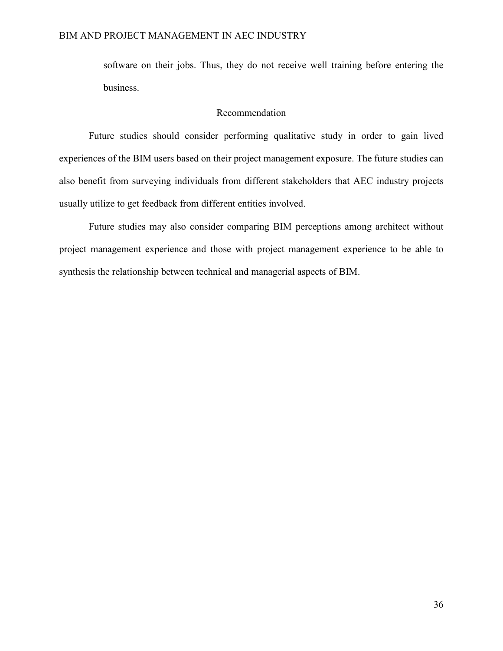software on their jobs. Thus, they do not receive well training before entering the business.

#### Recommendation

Future studies should consider performing qualitative study in order to gain lived experiences of the BIM users based on their project management exposure. The future studies can also benefit from surveying individuals from different stakeholders that AEC industry projects usually utilize to get feedback from different entities involved.

Future studies may also consider comparing BIM perceptions among architect without project management experience and those with project management experience to be able to synthesis the relationship between technical and managerial aspects of BIM.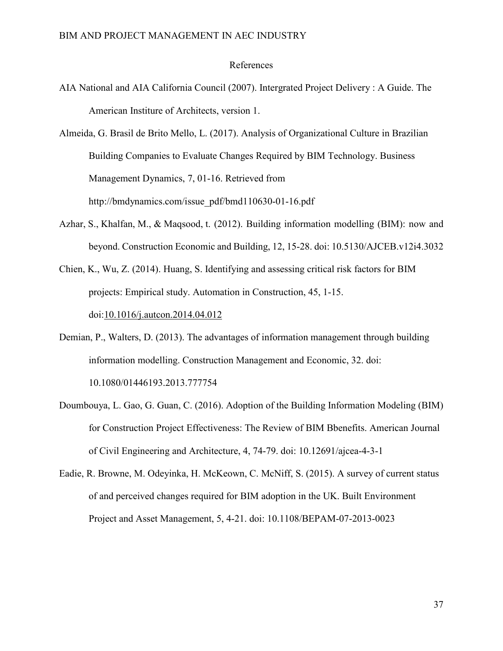#### References

- AIA National and AIA California Council (2007). Intergrated Project Delivery : A Guide. The American Institure of Architects, version 1.
- Almeida, G. Brasil de Brito Mello, L. (2017). Analysis of Organizational Culture in Brazilian Building Companies to Evaluate Changes Required by BIM Technology. Business Management Dynamics, 7, 01-16. Retrieved from http://bmdynamics.com/issue\_pdf/bmd110630-01-16.pdf
- Azhar, S., Khalfan, M., & Maqsood, t. (2012). Building information modelling (BIM): now and beyond. Construction Economic and Building, 12, 15-28. doi: 10.5130/AJCEB.v12i4.3032

Chien, K., Wu, Z. (2014). Huang, S. Identifying and assessing critical risk factors for BIM projects: Empirical study. Automation in Construction, 45, 1-15. doi:10.1016/j.autcon.2014.04.012

- Demian, P., Walters, D. (2013). The advantages of information management through building information modelling. Construction Management and Economic, 32. doi: 10.1080/01446193.2013.777754
- Doumbouya, L. Gao, G. Guan, C. (2016). Adoption of the Building Information Modeling (BIM) for Construction Project Effectiveness: The Review of BIM Bbenefits. American Journal of Civil Engineering and Architecture, 4, 74-79. doi: 10.12691/ajcea-4-3-1
- Eadie, R. Browne, M. Odeyinka, H. McKeown, C. McNiff, S. (2015). A survey of current status of and perceived changes required for BIM adoption in the UK. Built Environment Project and Asset Management, 5, 4-21. doi: 10.1108/BEPAM-07-2013-0023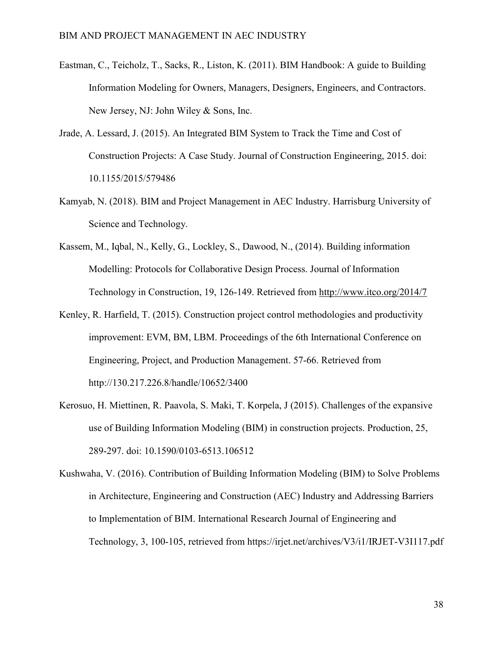- Eastman, C., Teicholz, T., Sacks, R., Liston, K. (2011). BIM Handbook: A guide to Building Information Modeling for Owners, Managers, Designers, Engineers, and Contractors. New Jersey, NJ: John Wiley & Sons, Inc.
- Jrade, A. Lessard, J. (2015). An Integrated BIM System to Track the Time and Cost of Construction Projects: A Case Study. Journal of Construction Engineering, 2015. doi: 10.1155/2015/579486
- Kamyab, N. (2018). BIM and Project Management in AEC Industry. Harrisburg University of Science and Technology.
- Kassem, M., Iqbal, N., Kelly, G., Lockley, S., Dawood, N., (2014). Building information Modelling: Protocols for Collaborative Design Process. Journal of Information Technology in Construction, 19, 126-149. Retrieved from http://www.itco.org/2014/7
- Kenley, R. Harfield, T. (2015). Construction project control methodologies and productivity improvement: EVM, BM, LBM. Proceedings of the 6th International Conference on Engineering, Project, and Production Management. 57-66. Retrieved from http://130.217.226.8/handle/10652/3400
- Kerosuo, H. Miettinen, R. Paavola, S. Maki, T. Korpela, J (2015). Challenges of the expansive use of Building Information Modeling (BIM) in construction projects. Production, 25, 289-297. doi: 10.1590/0103-6513.106512
- Kushwaha, V. (2016). Contribution of Building Information Modeling (BIM) to Solve Problems in Architecture, Engineering and Construction (AEC) Industry and Addressing Barriers to Implementation of BIM. International Research Journal of Engineering and Technology, 3, 100-105, retrieved from https://irjet.net/archives/V3/i1/IRJET-V3I117.pdf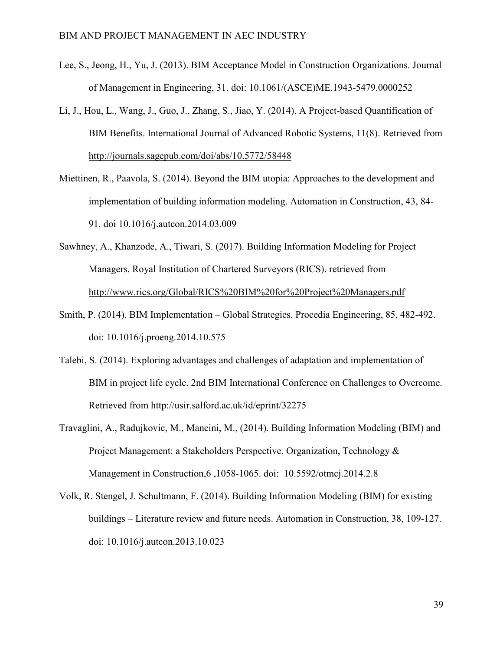- Lee, S., Jeong, H., Yu, J. (2013). BIM Acceptance Model in Construction Organizations. Journal of Management in Engineering, 31. doi: 10.1061/(ASCE)ME.1943-5479.0000252
- Li, J., Hou, L., Wang, J., Guo, J., Zhang, S., Jiao, Y. (2014). A Project-based Quantification of BIM Benefits. International Journal of Advanced Robotic Systems, 11(8). Retrieved from http://journals.sagepub.com/doi/abs/10.5772/58448
- Miettinen, R., Paavola, S. (2014). Beyond the BIM utopia: Approaches to the development and implementation of building information modeling. Automation in Construction, 43, 84- 91. doi 10.1016/j.autcon.2014.03.009
- Sawhney, A., Khanzode, A., Tiwari, S. (2017). Building Information Modeling for Project Managers. Royal Institution of Chartered Surveyors (RICS). retrieved from http://www.rics.org/Global/RICS%20BIM%20for%20Project%20Managers.pdf
- Smith, P. (2014). BIM Implementation Global Strategies. Procedia Engineering, 85, 482-492. doi: 10.1016/j.proeng.2014.10.575
- Talebi, S. (2014). Exploring advantages and challenges of adaptation and implementation of BIM in project life cycle. 2nd BIM International Conference on Challenges to Overcome. Retrieved from http://usir.salford.ac.uk/id/eprint/32275
- Travaglini, A., Radujkovic, M., Mancini, M., (2014). Building Information Modeling (BIM) and Project Management: a Stakeholders Perspective. Organization, Technology & Management in Construction,6 ,1058-1065. doi: 10.5592/otmcj.2014.2.8
- Volk, R. Stengel, J. Schultmann, F. (2014). Building Information Modeling (BIM) for existing buildings – Literature review and future needs. Automation in Construction, 38, 109-127. doi: 10.1016/j.autcon.2013.10.023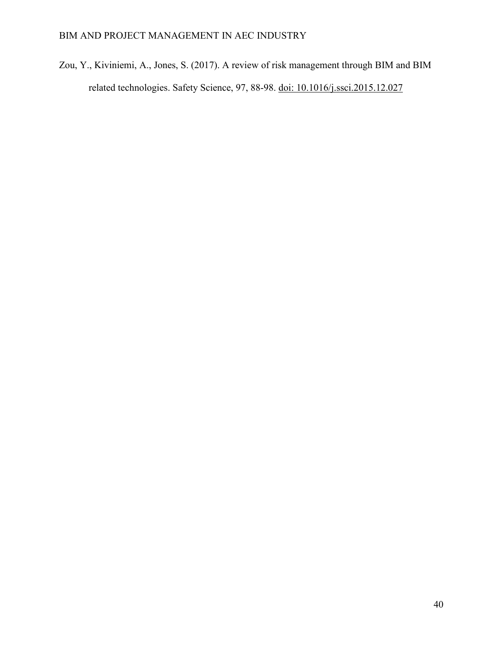Zou, Y., Kiviniemi, A., Jones, S. (2017). A review of risk management through BIM and BIM related technologies. Safety Science, 97, 88-98. doi: 10.1016/j.ssci.2015.12.027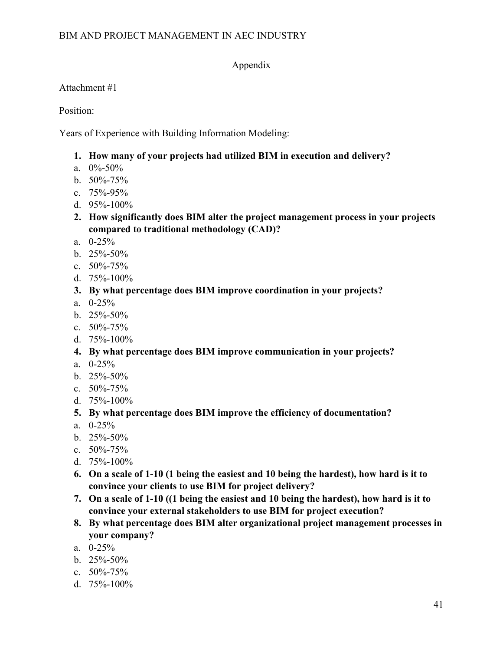## Appendix

Attachment #1

Position:

Years of Experience with Building Information Modeling:

- **1. How many of your projects had utilized BIM in execution and delivery?**
- a.  $0\% 50\%$
- b.  $50\% 75\%$
- c. 75%-95%
- d.  $95% 100%$
- **2. How significantly does BIM alter the project management process in your projects compared to traditional methodology (CAD)?**
- a. 0-25%
- b.  $25\% 50\%$
- c. 50%-75%
- d. 75%-100%
- **3. By what percentage does BIM improve coordination in your projects?**
- a. 0-25%
- b.  $25\% 50\%$
- c.  $50\% 75\%$
- d. 75%-100%
- **4. By what percentage does BIM improve communication in your projects?**
- a. 0-25%
- b. 25%-50%
- c.  $50\% 75\%$
- d. 75%-100%
- **5. By what percentage does BIM improve the efficiency of documentation?**
- a. 0-25%
- b. 25%-50%
- c. 50%-75%
- d. 75%-100%
- **6. On a scale of 1-10 (1 being the easiest and 10 being the hardest), how hard is it to convince your clients to use BIM for project delivery?**
- **7. On a scale of 1-10 ((1 being the easiest and 10 being the hardest), how hard is it to convince your external stakeholders to use BIM for project execution?**
- **8. By what percentage does BIM alter organizational project management processes in your company?**
- a. 0-25%
- b.  $25\% 50\%$
- c.  $50\% 75\%$
- d. 75%-100%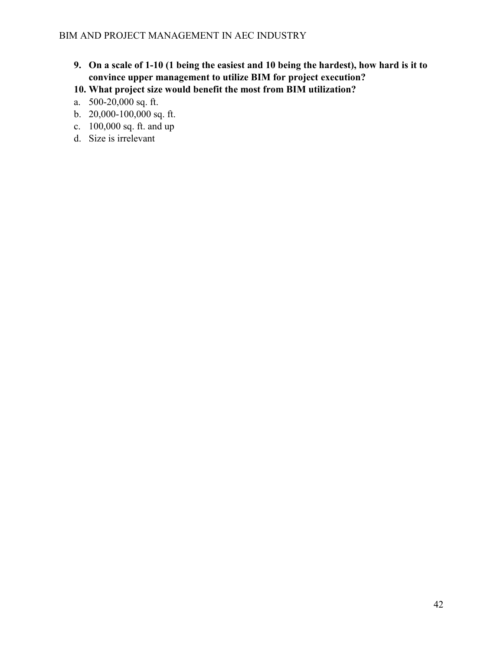- **9. On a scale of 1-10 (1 being the easiest and 10 being the hardest), how hard is it to convince upper management to utilize BIM for project execution?**
- **10. What project size would benefit the most from BIM utilization?**
- a. 500-20,000 sq. ft.
- b. 20,000-100,000 sq. ft.
- c. 100,000 sq. ft. and up
- d. Size is irrelevant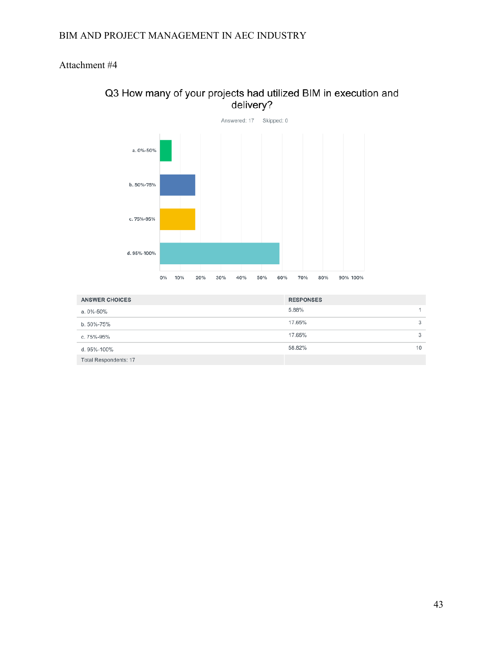## Attachment #4



## Q3 How many of your projects had utilized BIM in execution and delivery?

| <b>ANSWER CHOICES</b>        | <b>RESPONSES</b> |    |
|------------------------------|------------------|----|
| a. 0%-50%                    | 5.88%            |    |
| b. 50%-75%                   | 17.65%           | 3  |
| c. 75%-95%                   | 17.65%           | 3  |
| d. 95%-100%                  | 58.82%           | 10 |
| <b>Total Respondents: 17</b> |                  |    |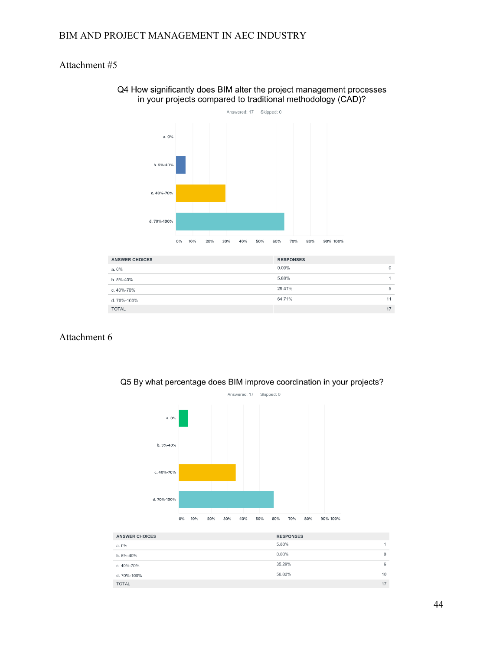## Attachment #5



#### Q4 How significantly does BIM alter the project management processes in your projects compared to traditional methodology (CAD)?

| <b>ANSWER CHOICES</b> | <b>RESPONSES</b> |              |
|-----------------------|------------------|--------------|
| a.0%                  | $0.00\%$         | $\mathbf{0}$ |
| b. 5%-40%             | 5.88%            |              |
| c. 40%-70%            | 29.41%           | 5            |
| d. 70%-100%           | 64.71%           | 11           |
| <b>TOTAL</b>          |                  | 17           |

## Attachment 6



Q5 By what percentage does BIM improve coordination in your projects?

| <b>RESPONSES</b> |                      |
|------------------|----------------------|
| 5.88%            | $\blacktriangleleft$ |
| $0.00\%$         | $\mathbf{0}$         |
| 35.29%           | 6                    |
| 58.82%           | 10                   |
|                  | 17                   |
|                  |                      |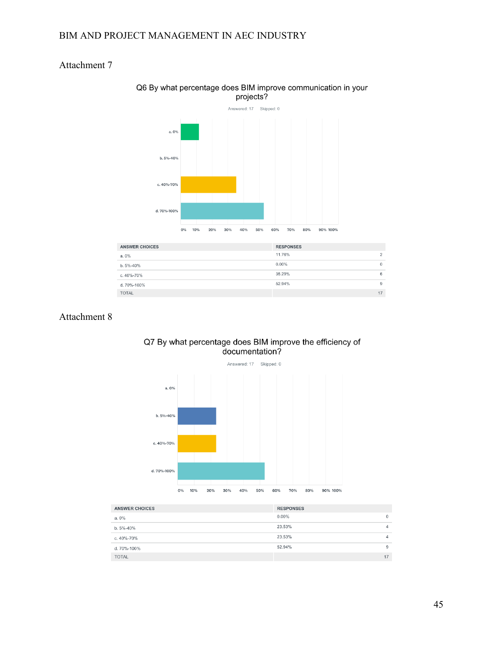## Attachment 7



#### Q6 By what percentage does BIM improve communication in your projects?

| <b>ANSWER CHOICES</b> | <b>RESPONSES</b> |              |
|-----------------------|------------------|--------------|
| a.0%                  | 11.76%           | 2            |
| b. 5%-40%             | $0.00\%$         | $\mathbf{0}$ |
| c. 40%-70%            | 35.29%           | 6            |
| d. 70%-100%           | 52.94%           | 9            |
| <b>TOTAL</b>          |                  | 17           |
|                       |                  |              |

### Attachment 8



# Q7 By what percentage does BIM improve the efficiency of<br>documentation?

| <b>ANSWER CHOICES</b> | <b>RESPONSES</b> |    |
|-----------------------|------------------|----|
| a.0%                  | $0.00\%$         | 0  |
| b. 5%-40%             | 23.53%           | 4  |
| c. 40%-70%            | 23.53%           | 4  |
| d. 70%-100%           | 52.94%           | 9  |
| <b>TOTAL</b>          |                  | 17 |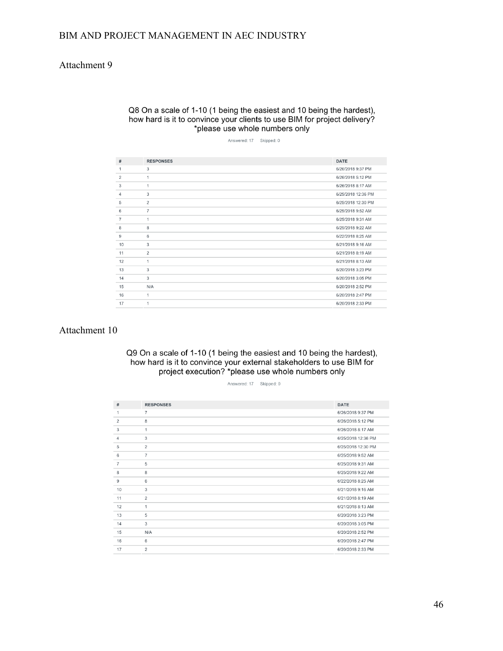### Attachment 9

#### Q8 On a scale of 1-10 (1 being the easiest and 10 being the hardest), how hard is it to convince your clients to use BIM for project delivery? \*please use whole numbers only

Answered: 17 Skipped: 0

| #              | <b>RESPONSES</b> | <b>DATE</b>        |
|----------------|------------------|--------------------|
| 1              | 3                | 6/26/2018 9:37 PM  |
| $\overline{2}$ | 1                | 6/26/2018 5:12 PM  |
| 3              | 1                | 6/26/2018 8:17 AM  |
| 4              | 3                | 6/25/2018 12:36 PM |
| 5              | $\overline{c}$   | 6/25/2018 12:30 PM |
| 6              | $\overline{7}$   | 6/25/2018 9:52 AM  |
| $\overline{7}$ | 1                | 6/25/2018 9:31 AM  |
| 8              | 8                | 6/25/2018 9:22 AM  |
| 9              | 6                | 6/22/2018 8:25 AM  |
| 10             | 3                | 6/21/2018 9:16 AM  |
| 11             | $\overline{2}$   | 6/21/2018 8:19 AM  |
| 12             | 1                | 6/21/2018 8:13 AM  |
| 13             | 3                | 6/20/2018 3:23 PM  |
| 14             | 3                | 6/20/2018 3:05 PM  |
| 15             | N/A              | 6/20/2018 2:52 PM  |
| 16             | 1                | 6/20/2018 2:47 PM  |
| 17             | 1                | 6/20/2018 2:33 PM  |

#### Attachment 10

#### Q9 On a scale of 1-10 (1 being the easiest and 10 being the hardest), how hard is it to convince your external stakeholders to use BIM for project execution? \*please use whole numbers only

#### Answered: 17 Skipped: 0

| #              | <b>RESPONSES</b> | <b>DATE</b>        |
|----------------|------------------|--------------------|
| 1              | 7                | 6/26/2018 9:37 PM  |
| $\overline{c}$ | 8                | 6/26/2018 5:12 PM  |
| 3              | 1                | 6/26/2018 8:17 AM  |
| 4              | 3                | 6/25/2018 12:36 PM |
| 5              | $\overline{2}$   | 6/25/2018 12:30 PM |
| 6              | $\overline{7}$   | 6/25/2018 9:52 AM  |
| $\overline{7}$ | 5                | 6/25/2018 9:31 AM  |
| 8              | 8                | 6/25/2018 9:22 AM  |
| 9              | 6                | 6/22/2018 8:25 AM  |
| 10             | 3                | 6/21/2018 9:16 AM  |
| 11             | $\overline{2}$   | 6/21/2018 8:19 AM  |
| 12             | $\mathbf{1}$     | 6/21/2018 8:13 AM  |
| 13             | 5                | 6/20/2018 3:23 PM  |
| 14             | 3                | 6/20/2018 3:05 PM  |
| 15             | N/A              | 6/20/2018 2:52 PM  |
| 16             | 6                | 6/20/2018 2:47 PM  |
| 17             | $\overline{c}$   | 6/20/2018 2:33 PM  |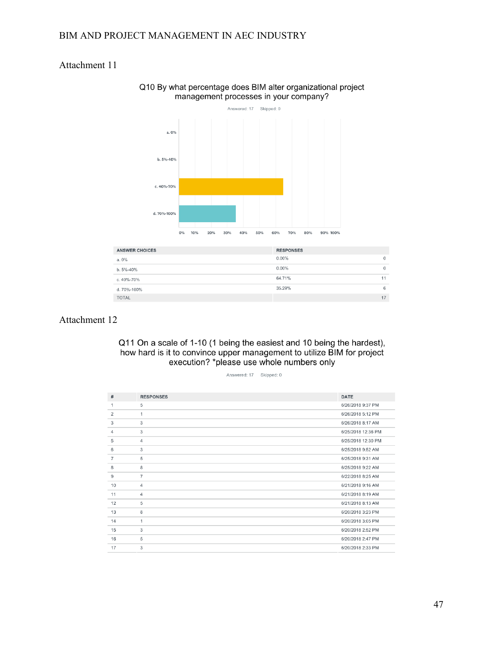## Attachment 11



#### Q10 By what percentage does BIM alter organizational project management processes in your company?

| <b>ANSWER CHOICES</b> | <b>RESPONSES</b> |              |
|-----------------------|------------------|--------------|
| a. 0%                 | $0.00\%$         | $\mathbf{0}$ |
| b. 5%-40%             | $0.00\%$         | 0            |
| c. 40%-70%            | 64.71%           | 11           |
| d. 70%-100%           | 35.29%           | 6            |
| <b>TOTAL</b>          |                  | 17           |

#### Attachment 12

Q11 On a scale of 1-10 (1 being the easiest and 10 being the hardest), how hard is it to convince upper management to utilize BIM for project execution? \*please use whole numbers only

Answered: 17 Skipped: 0

| #              | <b>RESPONSES</b> | <b>DATE</b>        |
|----------------|------------------|--------------------|
| 1              | 5                | 6/26/2018 9:37 PM  |
| $\overline{2}$ | $\mathbf{1}$     | 6/26/2018 5:12 PM  |
| 3              | 3                | 6/26/2018 8:17 AM  |
| 4              | 3                | 6/25/2018 12:36 PM |
| 5              | $\overline{4}$   | 6/25/2018 12:30 PM |
| 6              | 3                | 6/25/2018 9:52 AM  |
| $\overline{7}$ | 5                | 6/25/2018 9:31 AM  |
| 8              | 8                | 6/25/2018 9:22 AM  |
| 9              | $\overline{7}$   | 6/22/2018 8:25 AM  |
| 10             | $\overline{4}$   | 6/21/2018 9:16 AM  |
| 11             | 4                | 6/21/2018 8:19 AM  |
| 12             | 5                | 6/21/2018 8:13 AM  |
| 13             | 8                | 6/20/2018 3:23 PM  |
| 14             | 1                | 6/20/2018 3:05 PM  |
| 15             | 3                | 6/20/2018 2:52 PM  |
| 16             | 5                | 6/20/2018 2:47 PM  |
| 17             | 3                | 6/20/2018 2:33 PM  |
|                |                  |                    |